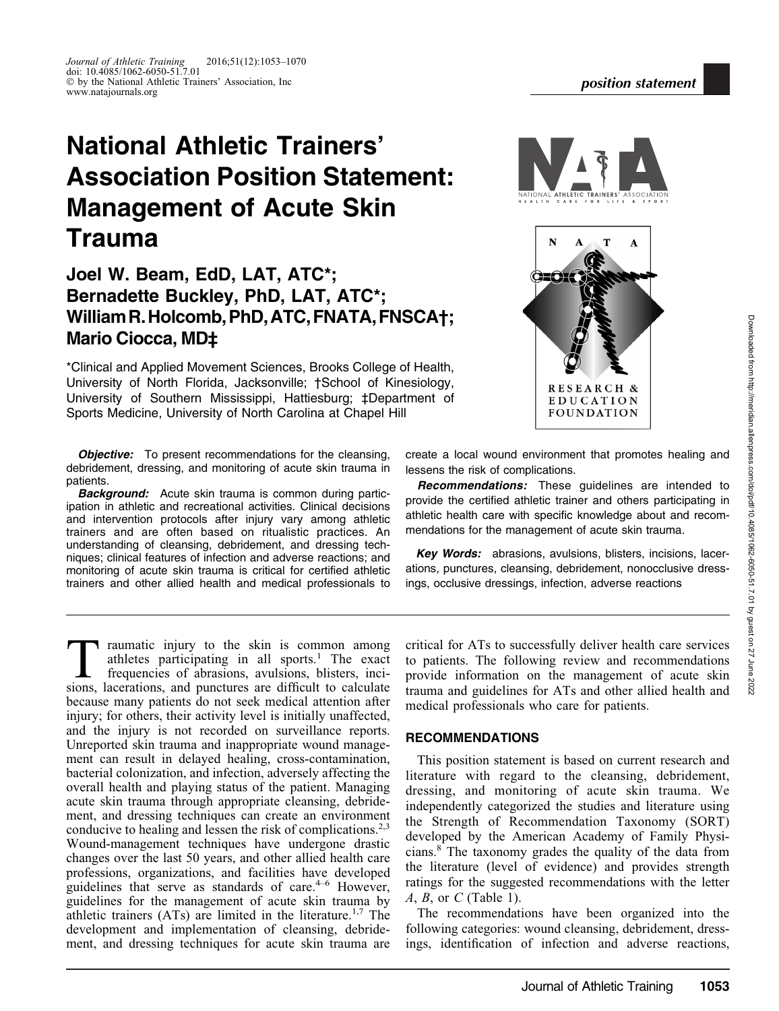# National Athletic Trainers' Association Position Statement: Management of Acute Skin Trauma

Journal of Athletic Training 2016;51(12):1053–1070 doi: 10.4085/1062-6050-51.7.01

# Joel W. Beam, EdD, LAT, ATC\*; Bernadette Buckley, PhD, LAT, ATC\*; WilliamR.Holcomb,PhD,ATC,FNATA,FNSCA†; Mario Ciocca, MD‡

\*Clinical and Applied Movement Sciences, Brooks College of Health, University of North Florida, Jacksonville; †School of Kinesiology, University of Southern Mississippi, Hattiesburg; ‡Department of Sports Medicine, University of North Carolina at Chapel Hill

**Objective:** To present recommendations for the cleansing, debridement, dressing, and monitoring of acute skin trauma in patients.

**Background:** Acute skin trauma is common during participation in athletic and recreational activities. Clinical decisions and intervention protocols after injury vary among athletic trainers and are often based on ritualistic practices. An understanding of cleansing, debridement, and dressing techniques; clinical features of infection and adverse reactions; and monitoring of acute skin trauma is critical for certified athletic trainers and other allied health and medical professionals to

ment, and dressing techniques for acute skin trauma are

create a local wound environment that promotes healing and lessens the risk of complications.

Recommendations: These guidelines are intended to provide the certified athletic trainer and others participating in athletic health care with specific knowledge about and recommendations for the management of acute skin trauma.

Key Words: abrasions, avulsions, blisters, incisions, lacerations, punctures, cleansing, debridement, nonocclusive dressings, occlusive dressings, infection, adverse reactions

I raumatic injury to the skin is common among athletes participating in all sports.<sup>1</sup> The exact frequencies of abrasions, avulsions, blisters, incisions, lacerations, and punctures are difficult to calculate because many patients do not seek medical attention after injury; for others, their activity level is initially unaffected, and the injury is not recorded on surveillance reports. Unreported skin trauma and inappropriate wound management can result in delayed healing, cross-contamination, bacterial colonization, and infection, adversely affecting the overall health and playing status of the patient. Managing acute skin trauma through appropriate cleansing, debridement, and dressing techniques can create an environment conducive to healing and lessen the risk of complications.<sup>2,3</sup> Wound-management techniques have undergone drastic changes over the last 50 years, and other allied health care professions, organizations, and facilities have developed guidelines that serve as standards of care. $4-6$  However, guidelines for the management of acute skin trauma by athletic trainers  $(ATs)$  are limited in the literature.<sup>1,7</sup> The development and implementation of cleansing, debride-

critical for ATs to successfully deliver health care services to patients. The following review and recommendations provide information on the management of acute skin trauma and guidelines for ATs and other allied health and medical professionals who care for patients.

# RECOMMENDATIONS

This position statement is based on current research and literature with regard to the cleansing, debridement, dressing, and monitoring of acute skin trauma. We independently categorized the studies and literature using the Strength of Recommendation Taxonomy (SORT) developed by the American Academy of Family Physicians.8 The taxonomy grades the quality of the data from the literature (level of evidence) and provides strength ratings for the suggested recommendations with the letter  $A, B,$  or  $C$  (Table 1).

The recommendations have been organized into the following categories: wound cleansing, debridement, dressings, identification of infection and adverse reactions,



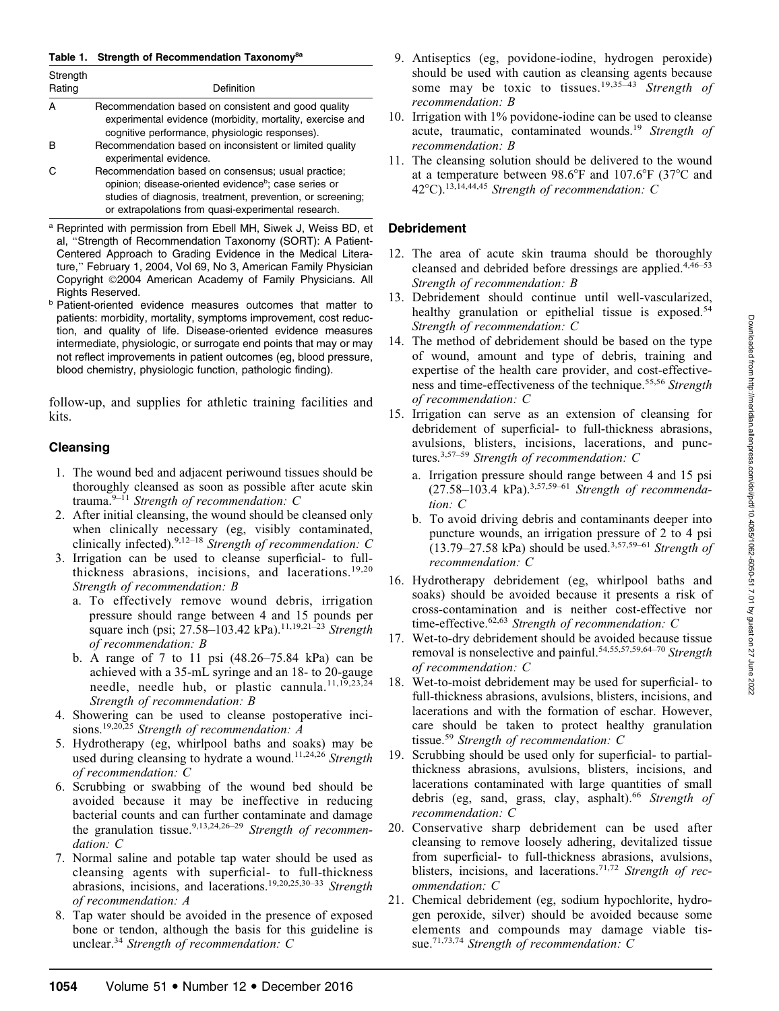#### Table 1. Strength of Recommendation Taxonomy<sup>8a</sup>

| Strength<br>Rating | Definition                                                                                                                                                                                                                                  |
|--------------------|---------------------------------------------------------------------------------------------------------------------------------------------------------------------------------------------------------------------------------------------|
|                    | Recommendation based on consistent and good quality<br>experimental evidence (morbidity, mortality, exercise and<br>cognitive performance, physiologic responses).                                                                          |
|                    | Recommendation based on inconsistent or limited quality<br>experimental evidence.                                                                                                                                                           |
|                    | Recommendation based on consensus; usual practice;<br>opinion; disease-oriented evidence <sup>b</sup> ; case series or<br>studies of diagnosis, treatment, prevention, or screening;<br>or extrapolations from quasi-experimental research. |

<sup>a</sup> Reprinted with permission from Ebell MH, Siwek J, Weiss BD, et al, ''Strength of Recommendation Taxonomy (SORT): A Patient-Centered Approach to Grading Evidence in the Medical Literature," February 1, 2004, Vol 69, No 3, American Family Physician Copyright ©2004 American Academy of Family Physicians. All Rights Reserved.

**b Patient-oriented evidence measures outcomes that matter to** patients: morbidity, mortality, symptoms improvement, cost reduction, and quality of life. Disease-oriented evidence measures intermediate, physiologic, or surrogate end points that may or may not reflect improvements in patient outcomes (eg, blood pressure, blood chemistry, physiologic function, pathologic finding).

follow-up, and supplies for athletic training facilities and kits.

# Cleansing

- 1. The wound bed and adjacent periwound tissues should be thoroughly cleansed as soon as possible after acute skin trauma. $9-11$  Strength of recommendation: C
- 2. After initial cleansing, the wound should be cleansed only when clinically necessary (eg, visibly contaminated, clinically infected).<sup>9,12–18</sup> Strength of recommendation: C
- 3. Irrigation can be used to cleanse superficial- to fullthickness abrasions, incisions, and lacerations.<sup>19,20</sup> Strength of recommendation: B
	- a. To effectively remove wound debris, irrigation pressure should range between 4 and 15 pounds per square inch (psi; 27.58–103.42 kPa).<sup>11,19,21–23</sup> Strength of recommendation: B
	- b. A range of 7 to 11 psi (48.26–75.84 kPa) can be achieved with a 35-mL syringe and an 18- to 20-gauge needle, needle hub, or plastic cannula.<sup>11,19</sup>,23,24</sup> Strength of recommendation: B
- 4. Showering can be used to cleanse postoperative incisions.<sup>19,20,25</sup> Strength of recommendation:  $A$
- 5. Hydrotherapy (eg, whirlpool baths and soaks) may be used during cleansing to hydrate a wound.<sup>11,24,26</sup> Strength of recommendation: C
- 6. Scrubbing or swabbing of the wound bed should be avoided because it may be ineffective in reducing bacterial counts and can further contaminate and damage the granulation tissue.<sup>9,13,24,26-29</sup> Strength of recommendation: C
- 7. Normal saline and potable tap water should be used as cleansing agents with superficial- to full-thickness abrasions, incisions, and lacerations.19,20,25,30–33 Strength of recommendation: A
- 8. Tap water should be avoided in the presence of exposed bone or tendon, although the basis for this guideline is unclear.<sup>34</sup> Strength of recommendation:  $C$
- 9. Antiseptics (eg, povidone-iodine, hydrogen peroxide) should be used with caution as cleansing agents because some may be toxic to tissues.<sup>19,35–43</sup> Strength of recommendation: B
- 10. Irrigation with 1% povidone-iodine can be used to cleanse acute, traumatic, contaminated wounds.<sup>19</sup> Strength of recommendation: B
- 11. The cleansing solution should be delivered to the wound at a temperature between  $98.6^{\circ}$ F and  $107.6^{\circ}$ F (37<sup>o</sup>C and 42 $^{\circ}$ C).<sup>13,14,44,45</sup> Strength of recommendation: C

# Debridement

- 12. The area of acute skin trauma should be thoroughly cleansed and debrided before dressings are applied. $4,46-53$ Strength of recommendation: B
- 13. Debridement should continue until well-vascularized, healthy granulation or epithelial tissue is exposed.<sup>54</sup> Strength of recommendation: C
- 14. The method of debridement should be based on the type of wound, amount and type of debris, training and expertise of the health care provider, and cost-effectiveness and time-effectiveness of the technique.<sup>55,56</sup> Strength of recommendation: C
- 15. Irrigation can serve as an extension of cleansing for debridement of superficial- to full-thickness abrasions, avulsions, blisters, incisions, lacerations, and punctures.<sup>3,57–59</sup> Strength of recommendation: C
	- a. Irrigation pressure should range between 4 and 15 psi  $(27.58-103.4 \text{ kPa})^{3,57,59-61}$  Strength of recommendation: C
	- b. To avoid driving debris and contaminants deeper into puncture wounds, an irrigation pressure of 2 to 4 psi  $(13.79-27.58 \text{ kPa})$  should be used.<sup>3,57,59–61</sup> Strength of recommendation: C
- 16. Hydrotherapy debridement (eg, whirlpool baths and soaks) should be avoided because it presents a risk of cross-contamination and is neither cost-effective nor time-effective. $62,63$  Strength of recommendation: C
- 17. Wet-to-dry debridement should be avoided because tissue removal is nonselective and painful.<sup>54,55,57,59,64–70</sup> Strength of recommendation: C
- 18. Wet-to-moist debridement may be used for superficial- to full-thickness abrasions, avulsions, blisters, incisions, and lacerations and with the formation of eschar. However, care should be taken to protect healthy granulation tissue.<sup>59</sup> Strength of recommendation: C
- 19. Scrubbing should be used only for superficial- to partialthickness abrasions, avulsions, blisters, incisions, and lacerations contaminated with large quantities of small debris (eg, sand, grass, clay, asphalt).<sup>66</sup> Strength of recommendation: C
- 20. Conservative sharp debridement can be used after cleansing to remove loosely adhering, devitalized tissue from superficial- to full-thickness abrasions, avulsions, blisters, incisions, and lacerations.<sup>71,72</sup> Strength of recommendation: C
- 21. Chemical debridement (eg, sodium hypochlorite, hydrogen peroxide, silver) should be avoided because some elements and compounds may damage viable tissue.<sup>71,73,74</sup> Strength of recommendation: C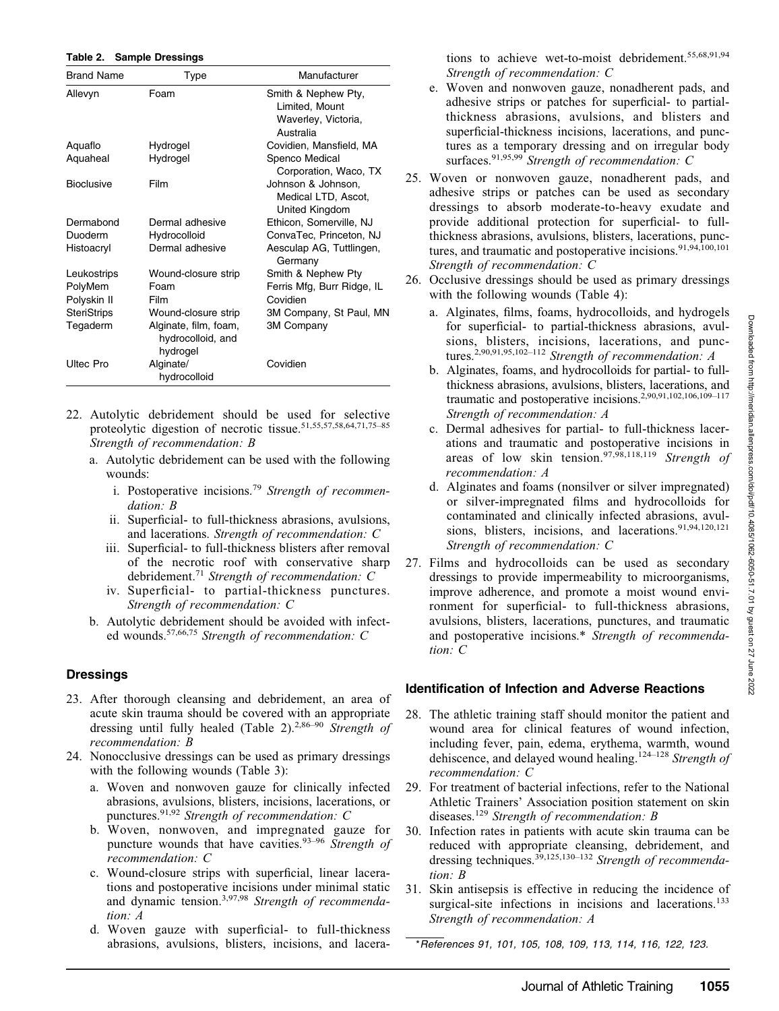#### Table 2. Sample Dressings

| <b>Brand Name</b>  | Type                                                   | Manufacturer                                                              |
|--------------------|--------------------------------------------------------|---------------------------------------------------------------------------|
| Allevyn            | Foam                                                   | Smith & Nephew Pty,<br>Limited, Mount<br>Waverley, Victoria,<br>Australia |
| Aquaflo            | Hydrogel                                               | Covidien, Mansfield, MA                                                   |
| Aquaheal           | Hydrogel                                               | Spenco Medical<br>Corporation, Waco, TX                                   |
| <b>Bioclusive</b>  | Film                                                   | Johnson & Johnson,<br>Medical LTD, Ascot,<br>United Kingdom               |
| Dermabond          | Dermal adhesive                                        | Ethicon, Somerville, NJ                                                   |
| Duoderm            | Hydrocolloid                                           | ConvaTec, Princeton, NJ                                                   |
| Histoacryl         | Dermal adhesive                                        | Aesculap AG, Tuttlingen,<br>Germany                                       |
| Leukostrips        | Wound-closure strip                                    | Smith & Nephew Pty                                                        |
| PolyMem            | Foam                                                   | Ferris Mfg, Burr Ridge, IL                                                |
| Polyskin II        | Film                                                   | Covidien                                                                  |
| <b>SteriStrips</b> | Wound-closure strip                                    | 3M Company, St Paul, MN                                                   |
| Tegaderm           | Alginate, film, foam,<br>hydrocolloid, and<br>hydrogel | <b>3M Company</b>                                                         |
| Ultec Pro          | Alginate/<br>hydrocolloid                              | Covidien                                                                  |

- 22. Autolytic debridement should be used for selective proteolytic digestion of necrotic tissue.<sup>51,55,57,58,64,71,75-85</sup> Strength of recommendation: B
	- a. Autolytic debridement can be used with the following wounds:
		- i. Postoperative incisions.<sup>79</sup> Strength of recommendation: B
		- ii. Superficial- to full-thickness abrasions, avulsions, and lacerations. Strength of recommendation: C
		- iii. Superficial- to full-thickness blisters after removal of the necrotic roof with conservative sharp debridement.<sup>71</sup> Strength of recommendation: C
		- iv. Superficial- to partial-thickness punctures. Strength of recommendation: C
	- b. Autolytic debridement should be avoided with infected wounds.57,66,75 Strength of recommendation: C

#### **Dressings**

- 23. After thorough cleansing and debridement, an area of acute skin trauma should be covered with an appropriate dressing until fully healed (Table 2).<sup>2,86–90</sup> Strength of recommendation: B
- 24. Nonocclusive dressings can be used as primary dressings with the following wounds (Table 3):
	- a. Woven and nonwoven gauze for clinically infected abrasions, avulsions, blisters, incisions, lacerations, or punctures.<sup>91,92</sup> Strength of recommendation: C
	- b. Woven, nonwoven, and impregnated gauze for puncture wounds that have cavities.<sup>93–96</sup> Strength of recommendation: C
	- c. Wound-closure strips with superficial, linear lacerations and postoperative incisions under minimal static and dynamic tension.<sup>3,97,98</sup> Strength of recommendation: A
	- d. Woven gauze with superficial- to full-thickness abrasions, avulsions, blisters, incisions, and lacera-

tions to achieve wet-to-moist debridement.55,68,91,94 Strength of recommendation: C

- e. Woven and nonwoven gauze, nonadherent pads, and adhesive strips or patches for superficial- to partialthickness abrasions, avulsions, and blisters and superficial-thickness incisions, lacerations, and punctures as a temporary dressing and on irregular body surfaces.<sup>91,95,99</sup> Strength of recommendation: C
- 25. Woven or nonwoven gauze, nonadherent pads, and adhesive strips or patches can be used as secondary dressings to absorb moderate-to-heavy exudate and provide additional protection for superficial- to fullthickness abrasions, avulsions, blisters, lacerations, punctures, and traumatic and postoperative incisions.<sup>91,94,100,101</sup> Strength of recommendation: C
- 26. Occlusive dressings should be used as primary dressings with the following wounds (Table 4):
	- a. Alginates, films, foams, hydrocolloids, and hydrogels for superficial- to partial-thickness abrasions, avulsions, blisters, incisions, lacerations, and punctures.2,90,91,95,102–112 Strength of recommendation: A
	- b. Alginates, foams, and hydrocolloids for partial- to fullthickness abrasions, avulsions, blisters, lacerations, and traumatic and postoperative incisions.<sup>2,90,91,102,106,109-117</sup> Strength of recommendation: A
	- c. Dermal adhesives for partial- to full-thickness lacerations and traumatic and postoperative incisions in areas of low skin tension.<sup>97,98,118,119</sup> Strength of recommendation: A
	- d. Alginates and foams (nonsilver or silver impregnated) or silver-impregnated films and hydrocolloids for contaminated and clinically infected abrasions, avulsions, blisters, incisions, and lacerations.<sup>91,94,120,121</sup> Strength of recommendation: C
- 27. Films and hydrocolloids can be used as secondary dressings to provide impermeability to microorganisms, improve adherence, and promote a moist wound environment for superficial- to full-thickness abrasions, avulsions, blisters, lacerations, punctures, and traumatic and postoperative incisions.\* Strength of recommendation: C

#### Identification of Infection and Adverse Reactions

- 28. The athletic training staff should monitor the patient and wound area for clinical features of wound infection, including fever, pain, edema, erythema, warmth, wound dehiscence, and delayed wound healing.<sup>124–128</sup> Strength of recommendation: C
- 29. For treatment of bacterial infections, refer to the National Athletic Trainers' Association position statement on skin diseases.<sup>129</sup> Strength of recommendation: B
- 30. Infection rates in patients with acute skin trauma can be reduced with appropriate cleansing, debridement, and dressing techniques.<sup>39,125,130–132</sup> Strength of recommendation: B
- 31. Skin antisepsis is effective in reducing the incidence of surgical-site infections in incisions and lacerations.<sup>133</sup> Strength of recommendation: A

\*References 91, 101, 105, 108, 109, 113, 114, 116, 122, 123.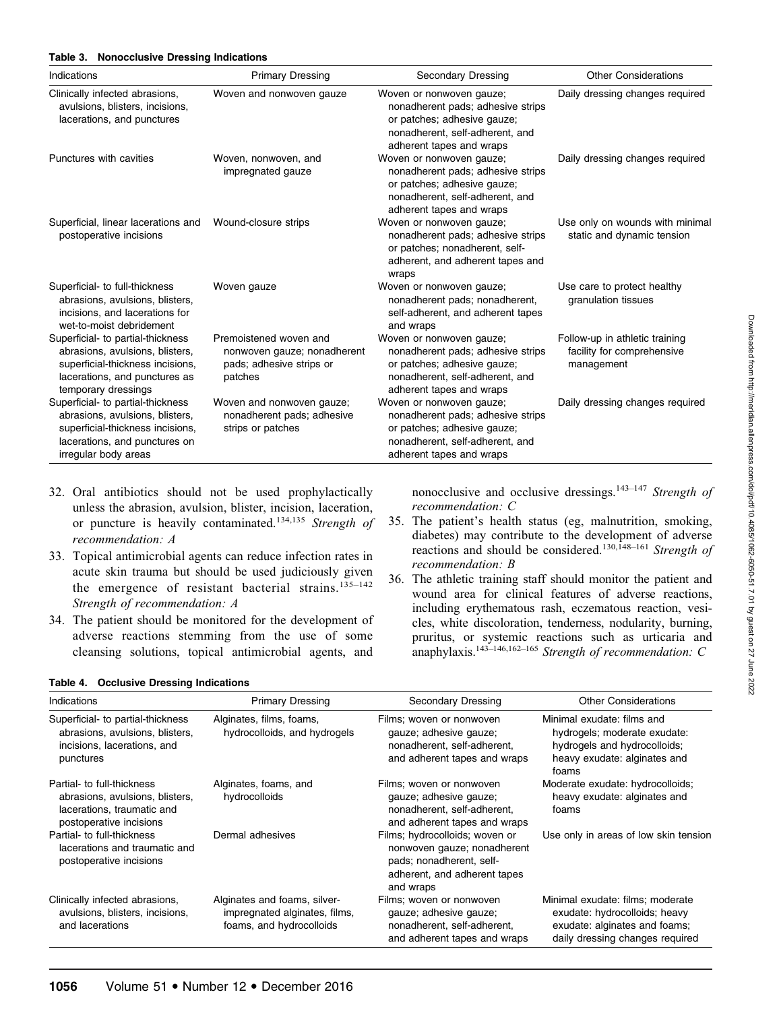# Table 3. Nonocclusive Dressing Indications

| Indications                                                                                                                                                       | <b>Primary Dressing</b>                                                                      | <b>Secondary Dressing</b>                                                                                                                                   | <b>Other Considerations</b>                                                |
|-------------------------------------------------------------------------------------------------------------------------------------------------------------------|----------------------------------------------------------------------------------------------|-------------------------------------------------------------------------------------------------------------------------------------------------------------|----------------------------------------------------------------------------|
| Clinically infected abrasions,<br>avulsions, blisters, incisions,<br>lacerations, and punctures                                                                   | Woven and nonwoven gauze                                                                     | Woven or nonwoven gauze;<br>nonadherent pads; adhesive strips<br>or patches; adhesive gauze;<br>nonadherent, self-adherent, and<br>adherent tapes and wraps | Daily dressing changes required                                            |
| Punctures with cavities                                                                                                                                           | Woven, nonwoven, and<br>impregnated gauze                                                    | Woven or nonwoven gauze;<br>nonadherent pads; adhesive strips<br>or patches; adhesive gauze;<br>nonadherent, self-adherent, and<br>adherent tapes and wraps | Daily dressing changes required                                            |
| Superficial, linear lacerations and<br>postoperative incisions                                                                                                    | Wound-closure strips                                                                         | Woven or nonwoven gauze;<br>nonadherent pads; adhesive strips<br>or patches; nonadherent, self-<br>adherent, and adherent tapes and<br>wraps                | Use only on wounds with minimal<br>static and dynamic tension              |
| Superficial- to full-thickness<br>abrasions, avulsions, blisters,<br>incisions, and lacerations for<br>wet-to-moist debridement                                   | Woven gauze                                                                                  | Woven or nonwoven gauze;<br>nonadherent pads; nonadherent,<br>self-adherent, and adherent tapes<br>and wraps                                                | Use care to protect healthy<br>granulation tissues                         |
| Superficial- to partial-thickness<br>abrasions, avulsions, blisters,<br>superficial-thickness incisions,<br>lacerations, and punctures as<br>temporary dressings  | Premoistened woven and<br>nonwoven gauze; nonadherent<br>pads; adhesive strips or<br>patches | Woven or nonwoven gauze;<br>nonadherent pads; adhesive strips<br>or patches; adhesive gauze;<br>nonadherent, self-adherent, and<br>adherent tapes and wraps | Follow-up in athletic training<br>facility for comprehensive<br>management |
| Superficial- to partial-thickness<br>abrasions, avulsions, blisters,<br>superficial-thickness incisions,<br>lacerations, and punctures on<br>irregular body areas | Woven and nonwoven gauze;<br>nonadherent pads; adhesive<br>strips or patches                 | Woven or nonwoven gauze;<br>nonadherent pads; adhesive strips<br>or patches; adhesive gauze;<br>nonadherent, self-adherent, and<br>adherent tapes and wraps | Daily dressing changes required                                            |

- 32. Oral antibiotics should not be used prophylactically unless the abrasion, avulsion, blister, incision, laceration, or puncture is heavily contaminated.<sup>134,135</sup> Strength of recommendation: A
- 33. Topical antimicrobial agents can reduce infection rates in acute skin trauma but should be used judiciously given the emergence of resistant bacterial strains. $135-142$ Strength of recommendation: A
- 34. The patient should be monitored for the development of adverse reactions stemming from the use of some cleansing solutions, topical antimicrobial agents, and

nonocclusive and occlusive dressings.<sup>143–147</sup> Strength of recommendation: C

- 35. The patient's health status (eg, malnutrition, smoking, diabetes) may contribute to the development of adverse reactions and should be considered.130,148–161 Strength of recommendation: B
- 36. The athletic training staff should monitor the patient and wound area for clinical features of adverse reactions, including erythematous rash, eczematous reaction, vesicles, white discoloration, tenderness, nodularity, burning, pruritus, or systemic reactions such as urticaria and anaphylaxis.<sup>143–146,162–165</sup> Strength of recommendation: C

#### Table 4. Occlusive Dressing Indications

| Indications                                                                                                            | <b>Primary Dressing</b>                                                                   | Secondary Dressing                                                                                                                     | <b>Other Considerations</b>                                                                                                           |
|------------------------------------------------------------------------------------------------------------------------|-------------------------------------------------------------------------------------------|----------------------------------------------------------------------------------------------------------------------------------------|---------------------------------------------------------------------------------------------------------------------------------------|
| Superficial- to partial-thickness<br>abrasions, avulsions, blisters,<br>incisions, lacerations, and<br>punctures       | Alginates, films, foams,<br>hydrocolloids, and hydrogels                                  | Films; woven or nonwoven<br>gauze; adhesive gauze;<br>nonadherent, self-adherent,<br>and adherent tapes and wraps                      | Minimal exudate: films and<br>hydrogels; moderate exudate:<br>hydrogels and hydrocolloids;<br>heavy exudate: alginates and<br>foams   |
| Partial- to full-thickness<br>abrasions, avulsions, blisters,<br>lacerations, traumatic and<br>postoperative incisions | Alginates, foams, and<br>hydrocolloids                                                    | Films; woven or nonwoven<br>qauze; adhesive qauze;<br>nonadherent, self-adherent,<br>and adherent tapes and wraps                      | Moderate exudate: hydrocolloids;<br>heavy exudate: alginates and<br>foams                                                             |
| Partial- to full-thickness<br>lacerations and traumatic and<br>postoperative incisions                                 | Dermal adhesives                                                                          | Films; hydrocolloids; woven or<br>nonwoven gauze; nonadherent<br>pads; nonadherent, self-<br>adherent, and adherent tapes<br>and wraps | Use only in areas of low skin tension                                                                                                 |
| Clinically infected abrasions,<br>avulsions, blisters, incisions,<br>and lacerations                                   | Alginates and foams, silver-<br>impregnated alginates, films,<br>foams, and hydrocolloids | Films; woven or nonwoven<br>gauze; adhesive gauze;<br>nonadherent, self-adherent,<br>and adherent tapes and wraps                      | Minimal exudate: films; moderate<br>exudate: hydrocolloids; heavy<br>exudate: alginates and foams;<br>daily dressing changes required |

Downloaded from http://meridian.allenpress.com/dolipdf/10.4085/1062-6050-51.7.01 by guest on 27 June 2022 Downloaded from http://meridian.allenpress.com/doi/pdf/10.4085/1062-6050-51.7.01 by guest on 27 June 2022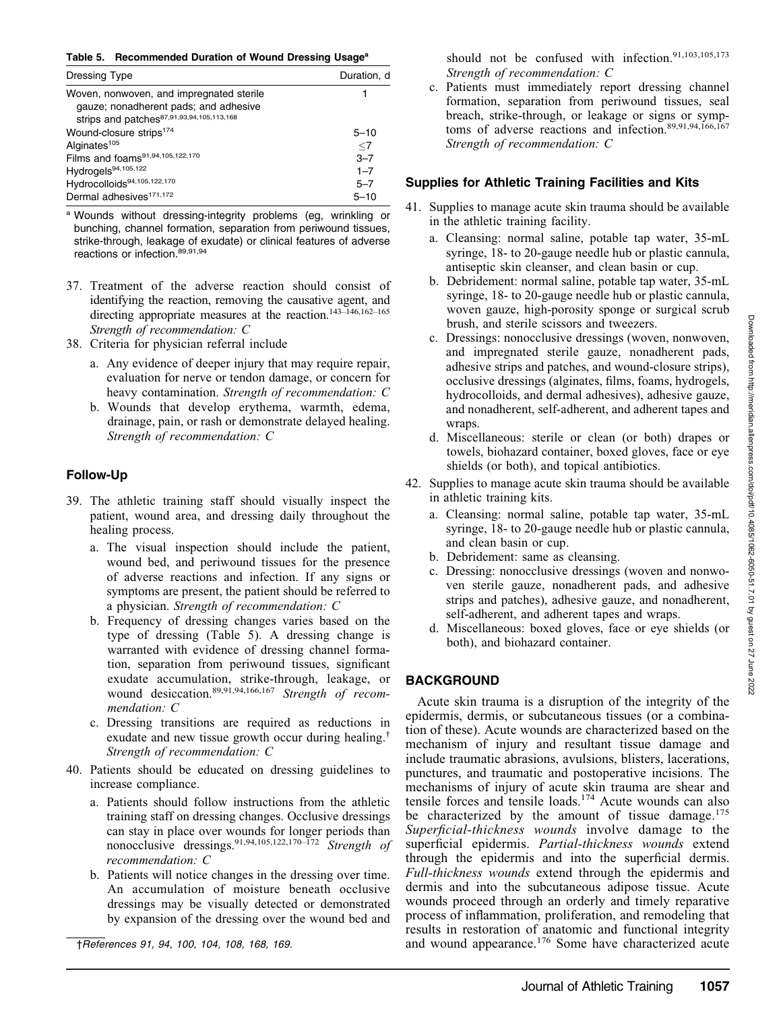Table 5. Recommended Duration of Wound Dressing Usage<sup>a</sup>

| Dressing Type                                                                                                                  | Duration, d |
|--------------------------------------------------------------------------------------------------------------------------------|-------------|
| Woven, nonwoven, and impregnated sterile<br>gauze; nonadherent pads; and adhesive<br>strips and patches87,91,93,94,105,113,168 |             |
| Wound-closure strips <sup>174</sup>                                                                                            | $5 - 10$    |
| Alginates <sup>105</sup>                                                                                                       | $\leq$ 7    |
| Films and foams <sup>91,94,105,122,170</sup>                                                                                   | $3 - 7$     |
| Hydrogels <sup>94,105,122</sup>                                                                                                | $1 - 7$     |
| Hydrocolloids94,105,122,170                                                                                                    | $5 - 7$     |
| Dermal adhesives <sup>171,172</sup>                                                                                            | $5 - 10$    |

<sup>a</sup> Wounds without dressing-integrity problems (eg, wrinkling or bunching, channel formation, separation from periwound tissues, strike-through, leakage of exudate) or clinical features of adverse reactions or infection.<sup>89,91,94</sup>

- 37. Treatment of the adverse reaction should consist of identifying the reaction, removing the causative agent, and directing appropriate measures at the reaction.<sup>143-146,162-165</sup> Strength of recommendation: C
- 38. Criteria for physician referral include
	- a. Any evidence of deeper injury that may require repair, evaluation for nerve or tendon damage, or concern for heavy contamination. Strength of recommendation: C
	- b. Wounds that develop erythema, warmth, edema, drainage, pain, or rash or demonstrate delayed healing. Strength of recommendation: C

# Follow-Up

- 39. The athletic training staff should visually inspect the patient, wound area, and dressing daily throughout the healing process.
	- a. The visual inspection should include the patient, wound bed, and periwound tissues for the presence of adverse reactions and infection. If any signs or symptoms are present, the patient should be referred to a physician. Strength of recommendation: C
	- b. Frequency of dressing changes varies based on the type of dressing (Table 5). A dressing change is warranted with evidence of dressing channel formation, separation from periwound tissues, significant exudate accumulation, strike-through, leakage, or wound desiccation.<sup>89,91,94,166,167</sup> Strength of recommendation: C
	- c. Dressing transitions are required as reductions in exudate and new tissue growth occur during healing.† Strength of recommendation: C
- 40. Patients should be educated on dressing guidelines to increase compliance.
	- a. Patients should follow instructions from the athletic training staff on dressing changes. Occlusive dressings can stay in place over wounds for longer periods than nonocclusive dressings.<sup>91,94,105,122,170–172</sup> Strength of recommendation: C
	- b. Patients will notice changes in the dressing over time. An accumulation of moisture beneath occlusive dressings may be visually detected or demonstrated by expansion of the dressing over the wound bed and

†References 91, 94, 100, 104, 108, 168, 169.

should not be confused with infection.<sup>91,103,105,173</sup> Strength of recommendation: C

c. Patients must immediately report dressing channel formation, separation from periwound tissues, seal breach, strike-through, or leakage or signs or symptoms of adverse reactions and infection.89,91,94,166,167 Strength of recommendation: C

# Supplies for Athletic Training Facilities and Kits

- 41. Supplies to manage acute skin trauma should be available in the athletic training facility.
	- a. Cleansing: normal saline, potable tap water, 35-mL syringe, 18- to 20-gauge needle hub or plastic cannula, antiseptic skin cleanser, and clean basin or cup.
	- b. Debridement: normal saline, potable tap water, 35-mL syringe, 18- to 20-gauge needle hub or plastic cannula, woven gauze, high-porosity sponge or surgical scrub brush, and sterile scissors and tweezers.
	- c. Dressings: nonocclusive dressings (woven, nonwoven, and impregnated sterile gauze, nonadherent pads, adhesive strips and patches, and wound-closure strips), occlusive dressings (alginates, films, foams, hydrogels, hydrocolloids, and dermal adhesives), adhesive gauze, and nonadherent, self-adherent, and adherent tapes and wraps.
	- d. Miscellaneous: sterile or clean (or both) drapes or towels, biohazard container, boxed gloves, face or eye shields (or both), and topical antibiotics.
- 42. Supplies to manage acute skin trauma should be available in athletic training kits.
	- a. Cleansing: normal saline, potable tap water, 35-mL syringe, 18- to 20-gauge needle hub or plastic cannula, and clean basin or cup.
	- b. Debridement: same as cleansing.
	- c. Dressing: nonocclusive dressings (woven and nonwoven sterile gauze, nonadherent pads, and adhesive strips and patches), adhesive gauze, and nonadherent, self-adherent, and adherent tapes and wraps.
	- d. Miscellaneous: boxed gloves, face or eye shields (or both), and biohazard container.

# **BACKGROUND**

Acute skin trauma is a disruption of the integrity of the epidermis, dermis, or subcutaneous tissues (or a combination of these). Acute wounds are characterized based on the mechanism of injury and resultant tissue damage and include traumatic abrasions, avulsions, blisters, lacerations, punctures, and traumatic and postoperative incisions. The mechanisms of injury of acute skin trauma are shear and tensile forces and tensile loads.174 Acute wounds can also be characterized by the amount of tissue damage.<sup>175</sup> Superficial-thickness wounds involve damage to the superficial epidermis. Partial-thickness wounds extend through the epidermis and into the superficial dermis. Full-thickness wounds extend through the epidermis and dermis and into the subcutaneous adipose tissue. Acute wounds proceed through an orderly and timely reparative process of inflammation, proliferation, and remodeling that results in restoration of anatomic and functional integrity and wound appearance.<sup>176</sup> Some have characterized acute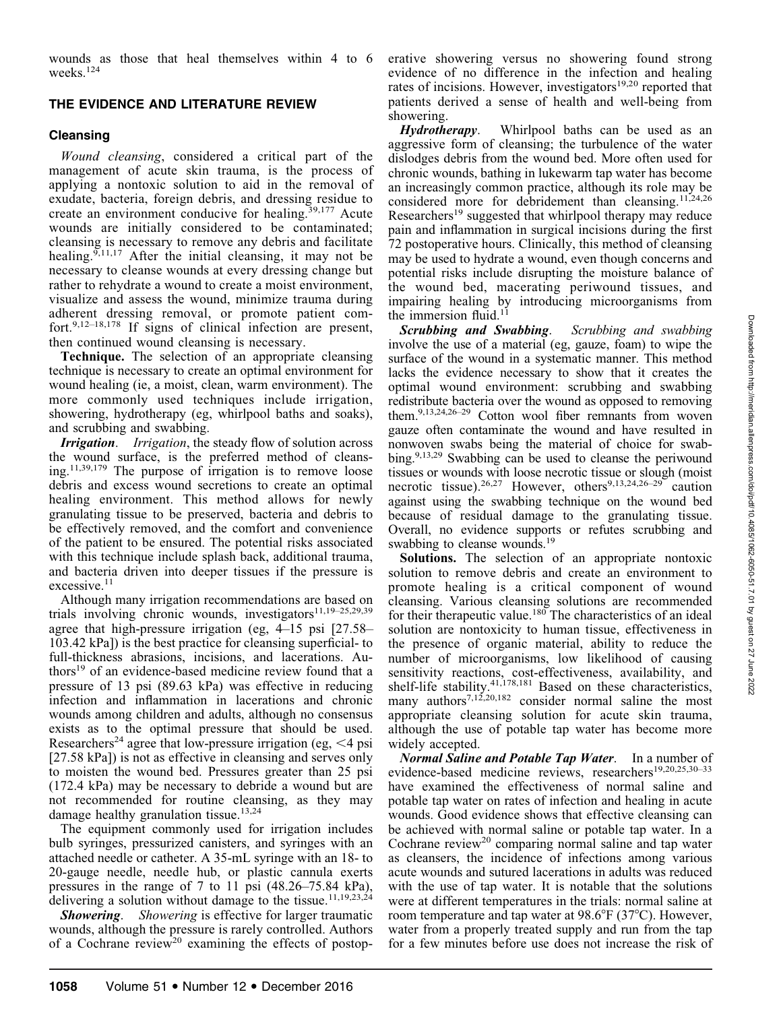wounds as those that heal themselves within 4 to 6 weeks.<sup>124</sup>

# THE EVIDENCE AND LITERATURE REVIEW

# **Cleansing**

Wound cleansing, considered a critical part of the management of acute skin trauma, is the process of applying a nontoxic solution to aid in the removal of exudate, bacteria, foreign debris, and dressing residue to create an environment conducive for healing.<sup>39,177</sup> Acute wounds are initially considered to be contaminated; cleansing is necessary to remove any debris and facilitate healing.<sup>9,11,17</sup> After the initial cleansing, it may not be necessary to cleanse wounds at every dressing change but rather to rehydrate a wound to create a moist environment, visualize and assess the wound, minimize trauma during adherent dressing removal, or promote patient comfort.<sup>9,12–18,178</sup> If signs of clinical infection are present, then continued wound cleansing is necessary.

Technique. The selection of an appropriate cleansing technique is necessary to create an optimal environment for wound healing (ie, a moist, clean, warm environment). The more commonly used techniques include irrigation, showering, hydrotherapy (eg, whirlpool baths and soaks), and scrubbing and swabbing.

Irrigation. Irrigation, the steady flow of solution across the wound surface, is the preferred method of cleansing.<sup>11,39,179</sup> The purpose of irrigation is to remove loose debris and excess wound secretions to create an optimal healing environment. This method allows for newly granulating tissue to be preserved, bacteria and debris to be effectively removed, and the comfort and convenience of the patient to be ensured. The potential risks associated with this technique include splash back, additional trauma, and bacteria driven into deeper tissues if the pressure is excessive.<sup>11</sup>

Although many irrigation recommendations are based on trials involving chronic wounds, investigators<sup>11,19–25,29,39</sup> agree that high-pressure irrigation (eg, 4–15 psi [27.58– 103.42 kPa]) is the best practice for cleansing superficial- to full-thickness abrasions, incisions, and lacerations. Authors19 of an evidence-based medicine review found that a pressure of 13 psi (89.63 kPa) was effective in reducing infection and inflammation in lacerations and chronic wounds among children and adults, although no consensus exists as to the optimal pressure that should be used. Researchers<sup>24</sup> agree that low-pressure irrigation (eg,  $\leq 4$  psi [27.58 kPa]) is not as effective in cleansing and serves only to moisten the wound bed. Pressures greater than 25 psi (172.4 kPa) may be necessary to debride a wound but are not recommended for routine cleansing, as they may damage healthy granulation tissue.<sup>13,24</sup>

The equipment commonly used for irrigation includes bulb syringes, pressurized canisters, and syringes with an attached needle or catheter. A 35-mL syringe with an 18- to 20-gauge needle, needle hub, or plastic cannula exerts pressures in the range of 7 to 11 psi (48.26–75.84 kPa), delivering a solution without damage to the tissue.<sup>11,19,23,24</sup>

**Showering.** Showering is effective for larger traumatic wounds, although the pressure is rarely controlled. Authors of a Cochrane review<sup>20</sup> examining the effects of postoperative showering versus no showering found strong evidence of no difference in the infection and healing rates of incisions. However, investigators<sup>19,20</sup> reported that patients derived a sense of health and well-being from showering.

Hydrotherapy. Whirlpool baths can be used as an aggressive form of cleansing; the turbulence of the water dislodges debris from the wound bed. More often used for chronic wounds, bathing in lukewarm tap water has become an increasingly common practice, although its role may be considered more for debridement than cleansing.11,24,26 Researchers<sup>19</sup> suggested that whirlpool therapy may reduce pain and inflammation in surgical incisions during the first 72 postoperative hours. Clinically, this method of cleansing may be used to hydrate a wound, even though concerns and potential risks include disrupting the moisture balance of the wound bed, macerating periwound tissues, and impairing healing by introducing microorganisms from the immersion fluid.<sup>11</sup>

Scrubbing and Swabbing. Scrubbing and swabbing involve the use of a material (eg, gauze, foam) to wipe the surface of the wound in a systematic manner. This method lacks the evidence necessary to show that it creates the optimal wound environment: scrubbing and swabbing redistribute bacteria over the wound as opposed to removing them.9,13,24,26–29 Cotton wool fiber remnants from woven gauze often contaminate the wound and have resulted in nonwoven swabs being the material of choice for swabbing.<sup>9,13,29</sup> Swabbing can be used to cleanse the periwound tissues or wounds with loose necrotic tissue or slough (moist necrotic tissue).<sup>26,27</sup> However, others<sup>9,13,24,26–29</sup> caution against using the swabbing technique on the wound bed because of residual damage to the granulating tissue. Overall, no evidence supports or refutes scrubbing and swabbing to cleanse wounds.<sup>19</sup>

Solutions. The selection of an appropriate nontoxic solution to remove debris and create an environment to promote healing is a critical component of wound cleansing. Various cleansing solutions are recommended for their therapeutic value.<sup>180</sup> The characteristics of an ideal solution are nontoxicity to human tissue, effectiveness in the presence of organic material, ability to reduce the number of microorganisms, low likelihood of causing sensitivity reactions, cost-effectiveness, availability, and shelf-life stability.<sup>41,178,181</sup> Based on these characteristics, many authors<sup>7,12,20,182</sup> consider normal saline the most appropriate cleansing solution for acute skin trauma, although the use of potable tap water has become more widely accepted.

Normal Saline and Potable Tap Water. In a number of evidence-based medicine reviews, researchers<sup>19,20,25,30–33</sup> have examined the effectiveness of normal saline and potable tap water on rates of infection and healing in acute wounds. Good evidence shows that effective cleansing can be achieved with normal saline or potable tap water. In a Cochrane review<sup>20</sup> comparing normal saline and tap water as cleansers, the incidence of infections among various acute wounds and sutured lacerations in adults was reduced with the use of tap water. It is notable that the solutions were at different temperatures in the trials: normal saline at room temperature and tap water at  $98.6^{\circ}F(37^{\circ}C)$ . However, water from a properly treated supply and run from the tap for a few minutes before use does not increase the risk of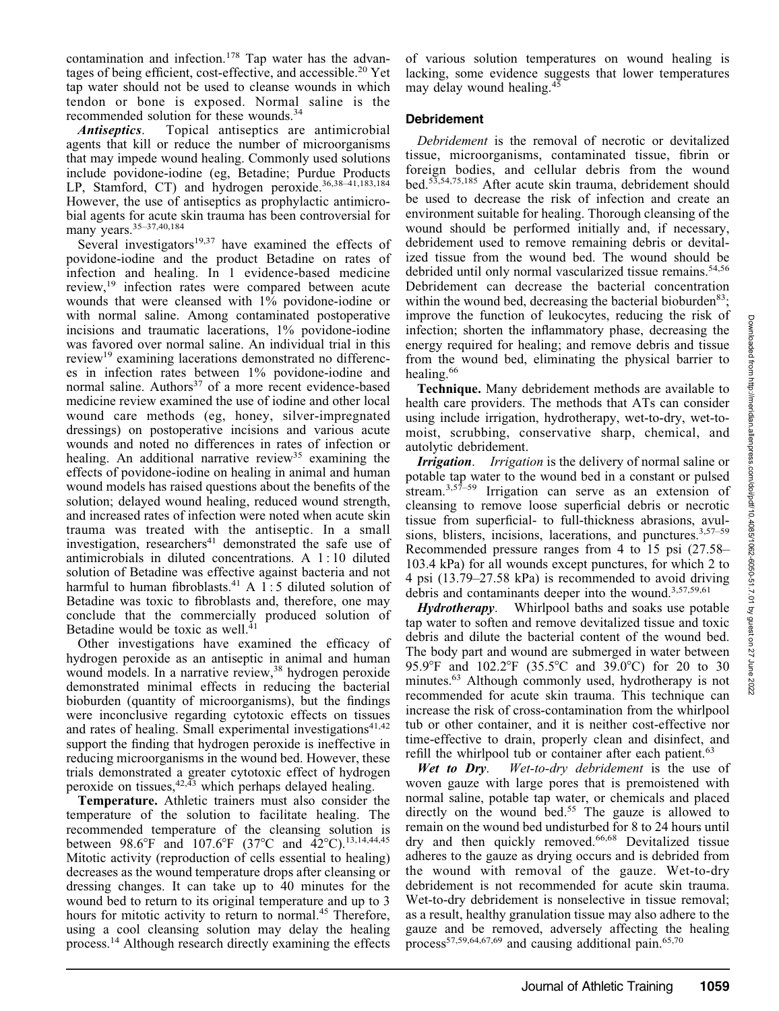contamination and infection.<sup>178</sup> Tap water has the advantages of being efficient, cost-effective, and accessible.<sup>20</sup> Yet tap water should not be used to cleanse wounds in which tendon or bone is exposed. Normal saline is the recommended solution for these wounds.34

Antiseptics. Topical antiseptics are antimicrobial agents that kill or reduce the number of microorganisms that may impede wound healing. Commonly used solutions include povidone-iodine (eg, Betadine; Purdue Products LP, Stamford, CT) and hydrogen peroxide.<sup>36,38-41,183,184</sup> However, the use of antiseptics as prophylactic antimicrobial agents for acute skin trauma has been controversial for many years.<sup>35-37,40,184</sup>

Several investigators $19,37$  have examined the effects of povidone-iodine and the product Betadine on rates of infection and healing. In 1 evidence-based medicine review,19 infection rates were compared between acute wounds that were cleansed with 1% povidone-iodine or with normal saline. Among contaminated postoperative incisions and traumatic lacerations, 1% povidone-iodine was favored over normal saline. An individual trial in this review<sup>19</sup> examining lacerations demonstrated no differences in infection rates between 1% povidone-iodine and normal saline. Authors<sup>37</sup> of a more recent evidence-based medicine review examined the use of iodine and other local wound care methods (eg, honey, silver-impregnated dressings) on postoperative incisions and various acute wounds and noted no differences in rates of infection or healing. An additional narrative review<sup>35</sup> examining the effects of povidone-iodine on healing in animal and human wound models has raised questions about the benefits of the solution; delayed wound healing, reduced wound strength, and increased rates of infection were noted when acute skin trauma was treated with the antiseptic. In a small investigation, researchers<sup>41</sup> demonstrated the safe use of antimicrobials in diluted concentrations. A 1 : 10 diluted solution of Betadine was effective against bacteria and not harmful to human fibroblasts.<sup>41</sup> A 1:5 diluted solution of Betadine was toxic to fibroblasts and, therefore, one may conclude that the commercially produced solution of Betadine would be toxic as well.<sup>4</sup>

Other investigations have examined the efficacy of hydrogen peroxide as an antiseptic in animal and human wound models. In a narrative review,<sup>38</sup> hydrogen peroxide demonstrated minimal effects in reducing the bacterial bioburden (quantity of microorganisms), but the findings were inconclusive regarding cytotoxic effects on tissues and rates of healing. Small experimental investigations $41,42$ support the finding that hydrogen peroxide is ineffective in reducing microorganisms in the wound bed. However, these trials demonstrated a greater cytotoxic effect of hydrogen peroxide on tissues,  $42,43$  which perhaps delayed healing.

Temperature. Athletic trainers must also consider the temperature of the solution to facilitate healing. The recommended temperature of the cleansing solution is between 98.6°F and 107.6°F (37°C and 42°C).<sup>13,14,44,45</sup> Mitotic activity (reproduction of cells essential to healing) decreases as the wound temperature drops after cleansing or dressing changes. It can take up to 40 minutes for the wound bed to return to its original temperature and up to 3 hours for mitotic activity to return to normal.<sup>45</sup> Therefore, using a cool cleansing solution may delay the healing process.14 Although research directly examining the effects

of various solution temperatures on wound healing is lacking, some evidence suggests that lower temperatures may delay wound healing.<sup>45</sup>

# Debridement

Debridement is the removal of necrotic or devitalized tissue, microorganisms, contaminated tissue, fibrin or foreign bodies, and cellular debris from the wound bed.53,54,75,185 After acute skin trauma, debridement should be used to decrease the risk of infection and create an environment suitable for healing. Thorough cleansing of the wound should be performed initially and, if necessary, debridement used to remove remaining debris or devitalized tissue from the wound bed. The wound should be debrided until only normal vascularized tissue remains.<sup>54,56</sup> Debridement can decrease the bacterial concentration within the wound bed, decreasing the bacterial bioburden<sup>83</sup>; improve the function of leukocytes, reducing the risk of infection; shorten the inflammatory phase, decreasing the energy required for healing; and remove debris and tissue from the wound bed, eliminating the physical barrier to healing.<sup>66</sup>

Technique. Many debridement methods are available to health care providers. The methods that ATs can consider using include irrigation, hydrotherapy, wet-to-dry, wet-tomoist, scrubbing, conservative sharp, chemical, and autolytic debridement.

**Irrigation.** Irrigation is the delivery of normal saline or potable tap water to the wound bed in a constant or pulsed stream.<sup>3,57–59</sup> Irrigation can serve as an extension of cleansing to remove loose superficial debris or necrotic tissue from superficial- to full-thickness abrasions, avulsions, blisters, incisions, lacerations, and punctures. $3,57-59$ Recommended pressure ranges from 4 to 15 psi (27.58– 103.4 kPa) for all wounds except punctures, for which 2 to 4 psi (13.79–27.58 kPa) is recommended to avoid driving debris and contaminants deeper into the wound.<sup>3,57,59,61</sup>

Hydrotherapy. Whirlpool baths and soaks use potable tap water to soften and remove devitalized tissue and toxic debris and dilute the bacterial content of the wound bed. The body part and wound are submerged in water between 95.9°F and 102.2°F (35.5°C and 39.0°C) for 20 to 30 minutes.<sup>63</sup> Although commonly used, hydrotherapy is not recommended for acute skin trauma. This technique can increase the risk of cross-contamination from the whirlpool tub or other container, and it is neither cost-effective nor time-effective to drain, properly clean and disinfect, and

refill the whirlpool tub or container after each patient.<sup>63</sup><br>Wet to Dry. Wet-to-dry debridement is the use Wet-to-dry debridement is the use of woven gauze with large pores that is premoistened with normal saline, potable tap water, or chemicals and placed directly on the wound bed.<sup>55</sup> The gauze is allowed to remain on the wound bed undisturbed for 8 to 24 hours until dry and then quickly removed.<sup>66,68</sup> Devitalized tissue adheres to the gauze as drying occurs and is debrided from the wound with removal of the gauze. Wet-to-dry debridement is not recommended for acute skin trauma. Wet-to-dry debridement is nonselective in tissue removal; as a result, healthy granulation tissue may also adhere to the gauze and be removed, adversely affecting the healing process<sup>57,59,64,67,69</sup> and causing additional pain.<sup>65,70</sup>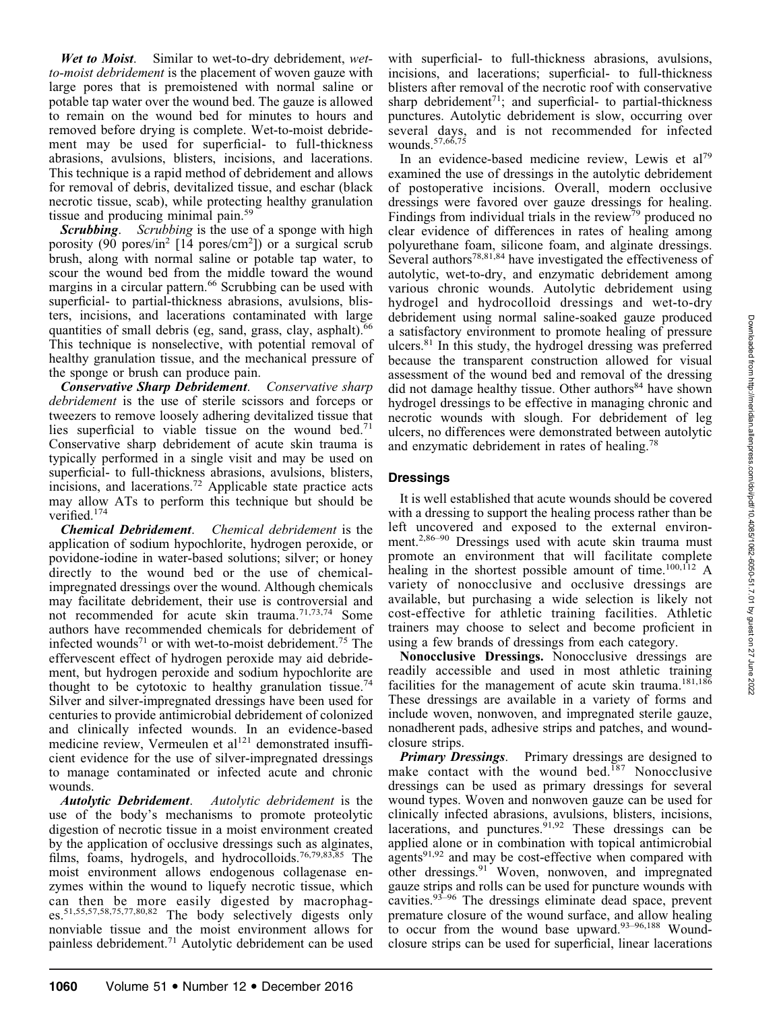Wet to Moist. Similar to wet-to-dry debridement, wetto-moist debridement is the placement of woven gauze with large pores that is premoistened with normal saline or potable tap water over the wound bed. The gauze is allowed to remain on the wound bed for minutes to hours and removed before drying is complete. Wet-to-moist debridement may be used for superficial- to full-thickness abrasions, avulsions, blisters, incisions, and lacerations. This technique is a rapid method of debridement and allows for removal of debris, devitalized tissue, and eschar (black necrotic tissue, scab), while protecting healthy granulation tissue and producing minimal pain.<sup>59</sup>

**Scrubbing.** Scrubbing is the use of a sponge with high porosity (90 pores/in<sup>2</sup> [14 pores/cm<sup>2</sup>]) or a surgical scrub brush, along with normal saline or potable tap water, to scour the wound bed from the middle toward the wound margins in a circular pattern.<sup>66</sup> Scrubbing can be used with superficial- to partial-thickness abrasions, avulsions, blisters, incisions, and lacerations contaminated with large quantities of small debris (eg, sand, grass, clay, asphalt).<sup>66</sup> This technique is nonselective, with potential removal of healthy granulation tissue, and the mechanical pressure of the sponge or brush can produce pain.

Conservative Sharp Debridement. Conservative sharp debridement is the use of sterile scissors and forceps or tweezers to remove loosely adhering devitalized tissue that lies superficial to viable tissue on the wound bed.<sup>71</sup> Conservative sharp debridement of acute skin trauma is typically performed in a single visit and may be used on superficial- to full-thickness abrasions, avulsions, blisters, incisions, and lacerations.72 Applicable state practice acts may allow ATs to perform this technique but should be verified.174

Chemical Debridement. Chemical debridement is the application of sodium hypochlorite, hydrogen peroxide, or povidone-iodine in water-based solutions; silver; or honey directly to the wound bed or the use of chemicalimpregnated dressings over the wound. Although chemicals may facilitate debridement, their use is controversial and not recommended for acute skin trauma.<sup>71,73,74</sup> Some authors have recommended chemicals for debridement of infected wounds<sup>71</sup> or with wet-to-moist debridement.<sup>75</sup> The effervescent effect of hydrogen peroxide may aid debridement, but hydrogen peroxide and sodium hypochlorite are thought to be cytotoxic to healthy granulation tissue.<sup>74</sup> Silver and silver-impregnated dressings have been used for centuries to provide antimicrobial debridement of colonized and clinically infected wounds. In an evidence-based medicine review, Vermeulen et al<sup>121</sup> demonstrated insufficient evidence for the use of silver-impregnated dressings to manage contaminated or infected acute and chronic wounds.

Autolytic Debridement. Autolytic debridement is the use of the body's mechanisms to promote proteolytic digestion of necrotic tissue in a moist environment created by the application of occlusive dressings such as alginates, films, foams, hydrogels, and hydrocolloids.<sup>76,79,83,85</sup> The moist environment allows endogenous collagenase enzymes within the wound to liquefy necrotic tissue, which can then be more easily digested by macrophages.51,55,57,58,75,77,80,82 The body selectively digests only nonviable tissue and the moist environment allows for painless debridement.71 Autolytic debridement can be used with superficial- to full-thickness abrasions, avulsions, incisions, and lacerations; superficial- to full-thickness blisters after removal of the necrotic roof with conservative sharp debridement<sup>71</sup>; and superficial- to partial-thickness punctures. Autolytic debridement is slow, occurring over several days, and is not recommended for infected wounds.<sup>57,66,75</sup>

In an evidence-based medicine review, Lewis et al<sup>79</sup> examined the use of dressings in the autolytic debridement of postoperative incisions. Overall, modern occlusive dressings were favored over gauze dressings for healing. Findings from individual trials in the review<sup>79</sup> produced no clear evidence of differences in rates of healing among polyurethane foam, silicone foam, and alginate dressings. Several authors<sup>78,81,84</sup> have investigated the effectiveness of autolytic, wet-to-dry, and enzymatic debridement among various chronic wounds. Autolytic debridement using hydrogel and hydrocolloid dressings and wet-to-dry debridement using normal saline-soaked gauze produced a satisfactory environment to promote healing of pressure ulcers.<sup>81</sup> In this study, the hydrogel dressing was preferred because the transparent construction allowed for visual assessment of the wound bed and removal of the dressing did not damage healthy tissue. Other authors<sup>84</sup> have shown hydrogel dressings to be effective in managing chronic and necrotic wounds with slough. For debridement of leg ulcers, no differences were demonstrated between autolytic and enzymatic debridement in rates of healing.78

# Dressings

It is well established that acute wounds should be covered with a dressing to support the healing process rather than be left uncovered and exposed to the external environment.<sup>2,86–90</sup> Dressings used with acute skin trauma must promote an environment that will facilitate complete healing in the shortest possible amount of time.<sup>100,112</sup> A variety of nonocclusive and occlusive dressings are available, but purchasing a wide selection is likely not cost-effective for athletic training facilities. Athletic trainers may choose to select and become proficient in using a few brands of dressings from each category.

Nonocclusive Dressings. Nonocclusive dressings are readily accessible and used in most athletic training facilities for the management of acute skin trauma.<sup>181,186</sup> These dressings are available in a variety of forms and include woven, nonwoven, and impregnated sterile gauze, nonadherent pads, adhesive strips and patches, and woundclosure strips.

**Primary Dressings.** Primary dressings are designed to make contact with the wound bed.<sup>187</sup> Nonocclusive dressings can be used as primary dressings for several wound types. Woven and nonwoven gauze can be used for clinically infected abrasions, avulsions, blisters, incisions, lacerations, and punctures.  $91,92$  These dressings can be applied alone or in combination with topical antimicrobial agents $91,92$  and may be cost-effective when compared with other dressings.<sup>91</sup> Woven, nonwoven, and impregnated gauze strips and rolls can be used for puncture wounds with cavities.93–96 The dressings eliminate dead space, prevent premature closure of the wound surface, and allow healing to occur from the wound base upward. $93-96,188$  Woundclosure strips can be used for superficial, linear lacerations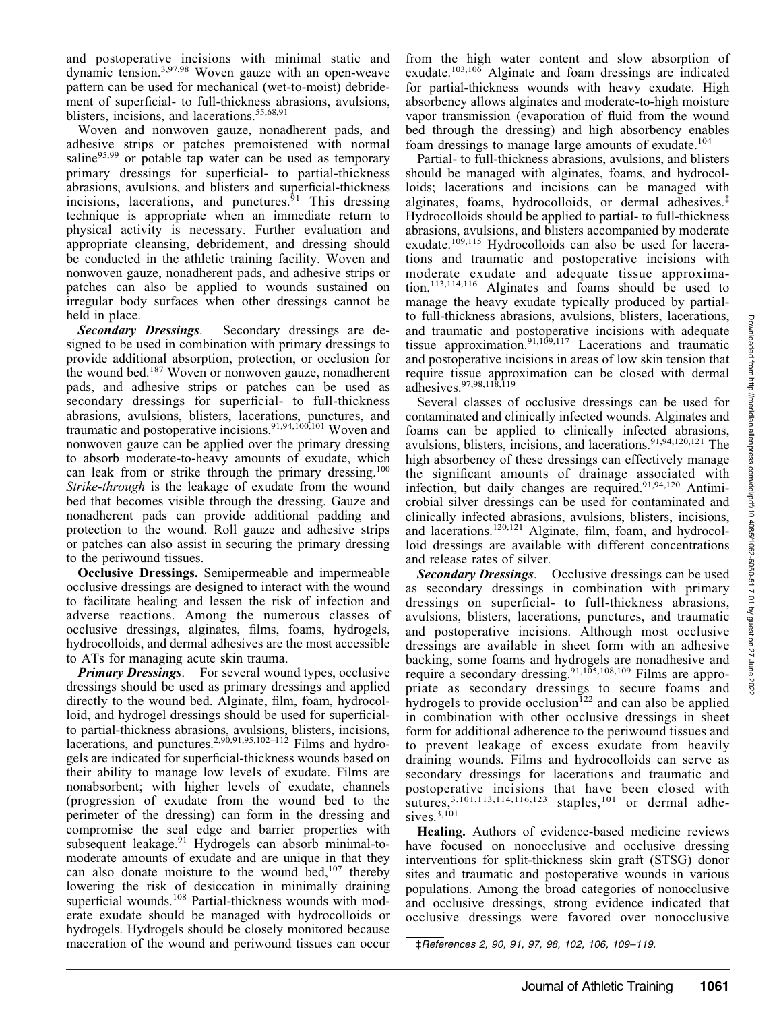Downloaded from http://meridian.allenpress.com/doi/pdf/10.4085/1062-6050-51.7.01 by guest on Downloaded from http://meridian.allenpress.com/doi/pdf/10.4085/1062-6050-51.7.01 by guest on 27 June 2022

27 June

and postoperative incisions with minimal static and dynamic tension.3,97,98 Woven gauze with an open-weave pattern can be used for mechanical (wet-to-moist) debridement of superficial- to full-thickness abrasions, avulsions, blisters, incisions, and lacerations.<sup>55,68,91</sup>

Woven and nonwoven gauze, nonadherent pads, and adhesive strips or patches premoistened with normal saline<sup>95,99</sup> or potable tap water can be used as temporary primary dressings for superficial- to partial-thickness abrasions, avulsions, and blisters and superficial-thickness incisions, lacerations, and punctures. $91$  This dressing technique is appropriate when an immediate return to physical activity is necessary. Further evaluation and appropriate cleansing, debridement, and dressing should be conducted in the athletic training facility. Woven and nonwoven gauze, nonadherent pads, and adhesive strips or patches can also be applied to wounds sustained on irregular body surfaces when other dressings cannot be held in place.

Secondary Dressings. Secondary dressings are designed to be used in combination with primary dressings to provide additional absorption, protection, or occlusion for the wound bed.187 Woven or nonwoven gauze, nonadherent pads, and adhesive strips or patches can be used as secondary dressings for superficial- to full-thickness abrasions, avulsions, blisters, lacerations, punctures, and traumatic and postoperative incisions.<sup>91,94,100,101</sup> Woven and nonwoven gauze can be applied over the primary dressing to absorb moderate-to-heavy amounts of exudate, which can leak from or strike through the primary dressing.<sup>100</sup> Strike-through is the leakage of exudate from the wound bed that becomes visible through the dressing. Gauze and nonadherent pads can provide additional padding and protection to the wound. Roll gauze and adhesive strips or patches can also assist in securing the primary dressing to the periwound tissues.

Occlusive Dressings. Semipermeable and impermeable occlusive dressings are designed to interact with the wound to facilitate healing and lessen the risk of infection and adverse reactions. Among the numerous classes of occlusive dressings, alginates, films, foams, hydrogels, hydrocolloids, and dermal adhesives are the most accessible to ATs for managing acute skin trauma.

**Primary Dressings.** For several wound types, occlusive dressings should be used as primary dressings and applied directly to the wound bed. Alginate, film, foam, hydrocolloid, and hydrogel dressings should be used for superficialto partial-thickness abrasions, avulsions, blisters, incisions, lacerations, and punctures.<sup>2,90,91,95,102–112</sup> Films and hydrogels are indicated for superficial-thickness wounds based on their ability to manage low levels of exudate. Films are nonabsorbent; with higher levels of exudate, channels (progression of exudate from the wound bed to the perimeter of the dressing) can form in the dressing and compromise the seal edge and barrier properties with subsequent leakage.<sup>91</sup> Hydrogels can absorb minimal-tomoderate amounts of exudate and are unique in that they can also donate moisture to the wound bed,  $107$  thereby lowering the risk of desiccation in minimally draining superficial wounds.<sup>108</sup> Partial-thickness wounds with moderate exudate should be managed with hydrocolloids or hydrogels. Hydrogels should be closely monitored because maceration of the wound and periwound tissues can occur from the high water content and slow absorption of exudate.103,106 Alginate and foam dressings are indicated for partial-thickness wounds with heavy exudate. High absorbency allows alginates and moderate-to-high moisture vapor transmission (evaporation of fluid from the wound bed through the dressing) and high absorbency enables foam dressings to manage large amounts of exudate.<sup>104</sup>

Partial- to full-thickness abrasions, avulsions, and blisters should be managed with alginates, foams, and hydrocolloids; lacerations and incisions can be managed with alginates, foams, hydrocolloids, or dermal adhesives.‡ Hydrocolloids should be applied to partial- to full-thickness abrasions, avulsions, and blisters accompanied by moderate exudate.<sup>109,115</sup> Hydrocolloids can also be used for lacerations and traumatic and postoperative incisions with moderate exudate and adequate tissue approximation.113,114,116 Alginates and foams should be used to manage the heavy exudate typically produced by partialto full-thickness abrasions, avulsions, blisters, lacerations, and traumatic and postoperative incisions with adequate tissue approximation.<sup>91,109,117</sup> Lacerations and traumatic and postoperative incisions in areas of low skin tension that require tissue approximation can be closed with dermal adhesives.97,98,118,119

Several classes of occlusive dressings can be used for contaminated and clinically infected wounds. Alginates and foams can be applied to clinically infected abrasions, avulsions, blisters, incisions, and lacerations.<sup>91,94,120,121</sup> The high absorbency of these dressings can effectively manage the significant amounts of drainage associated with infection, but daily changes are required.<sup>91,94,120</sup> Antimicrobial silver dressings can be used for contaminated and clinically infected abrasions, avulsions, blisters, incisions, and lacerations.120,121 Alginate, film, foam, and hydrocolloid dressings are available with different concentrations and release rates of silver.

Secondary Dressings. Occlusive dressings can be used as secondary dressings in combination with primary dressings on superficial- to full-thickness abrasions, avulsions, blisters, lacerations, punctures, and traumatic and postoperative incisions. Although most occlusive dressings are available in sheet form with an adhesive backing, some foams and hydrogels are nonadhesive and require a secondary dressing.<sup>91,105,108,109</sup> Films are appropriate as secondary dressings to secure foams and hydrogels to provide occlusion<sup>122</sup> and can also be applied in combination with other occlusive dressings in sheet form for additional adherence to the periwound tissues and to prevent leakage of excess exudate from heavily draining wounds. Films and hydrocolloids can serve as secondary dressings for lacerations and traumatic and postoperative incisions that have been closed with sutures,  $3,101,113,114,116,123$  staples,  $101$  or dermal adhesives. $3,101$ 

Healing. Authors of evidence-based medicine reviews have focused on nonocclusive and occlusive dressing interventions for split-thickness skin graft (STSG) donor sites and traumatic and postoperative wounds in various populations. Among the broad categories of nonocclusive and occlusive dressings, strong evidence indicated that occlusive dressings were favored over nonocclusive

‡References 2, 90, 91, 97, 98, 102, 106, 109–119.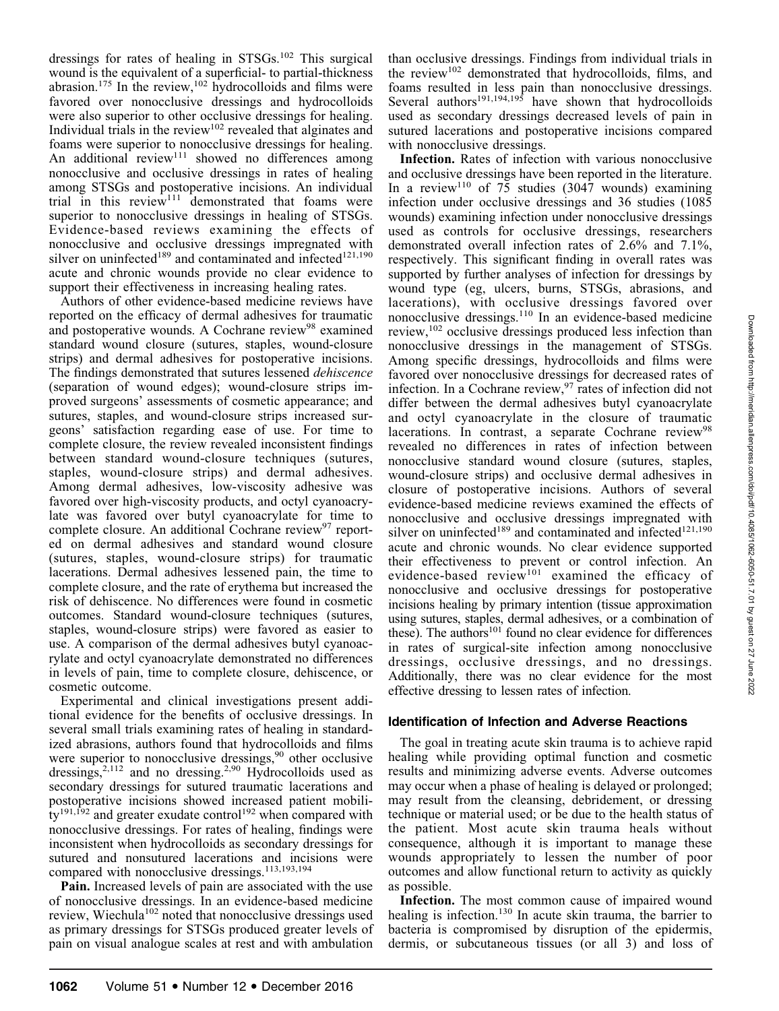dressings for rates of healing in STSGs.<sup>102</sup> This surgical wound is the equivalent of a superficial- to partial-thickness  $\alpha$ brasion.<sup>175</sup> In the review,<sup>102</sup> hydrocolloids and films were favored over nonocclusive dressings and hydrocolloids were also superior to other occlusive dressings for healing. Individual trials in the review $102$  revealed that alginates and foams were superior to nonocclusive dressings for healing. An additional review<sup>111</sup> showed no differences among nonocclusive and occlusive dressings in rates of healing among STSGs and postoperative incisions. An individual trial in this review<sup>111</sup> demonstrated that foams were superior to nonocclusive dressings in healing of STSGs. Evidence-based reviews examining the effects of nonocclusive and occlusive dressings impregnated with silver on uninfected<sup>189</sup> and contaminated and infected<sup>121,190</sup> acute and chronic wounds provide no clear evidence to support their effectiveness in increasing healing rates.

Authors of other evidence-based medicine reviews have reported on the efficacy of dermal adhesives for traumatic and postoperative wounds. A Cochrane review<sup>98</sup> examined standard wound closure (sutures, staples, wound-closure strips) and dermal adhesives for postoperative incisions. The findings demonstrated that sutures lessened dehiscence (separation of wound edges); wound-closure strips improved surgeons' assessments of cosmetic appearance; and sutures, staples, and wound-closure strips increased surgeons' satisfaction regarding ease of use. For time to complete closure, the review revealed inconsistent findings between standard wound-closure techniques (sutures, staples, wound-closure strips) and dermal adhesives. Among dermal adhesives, low-viscosity adhesive was favored over high-viscosity products, and octyl cyanoacrylate was favored over butyl cyanoacrylate for time to complete closure. An additional Cochrane review<sup>97</sup> reported on dermal adhesives and standard wound closure (sutures, staples, wound-closure strips) for traumatic lacerations. Dermal adhesives lessened pain, the time to complete closure, and the rate of erythema but increased the risk of dehiscence. No differences were found in cosmetic outcomes. Standard wound-closure techniques (sutures, staples, wound-closure strips) were favored as easier to use. A comparison of the dermal adhesives butyl cyanoacrylate and octyl cyanoacrylate demonstrated no differences in levels of pain, time to complete closure, dehiscence, or cosmetic outcome.

Experimental and clinical investigations present additional evidence for the benefits of occlusive dressings. In several small trials examining rates of healing in standardized abrasions, authors found that hydrocolloids and films were superior to nonocclusive dressings, $90$  other occlusive dressings,<sup>2,112</sup> and no dressing.<sup>2,90</sup> Hydrocolloids used as secondary dressings for sutured traumatic lacerations and postoperative incisions showed increased patient mobili- $_{\rm{ty}}^{191,192}$  and greater exudate control<sup>192</sup> when compared with nonocclusive dressings. For rates of healing, findings were inconsistent when hydrocolloids as secondary dressings for sutured and nonsutured lacerations and incisions were compared with nonocclusive dressings.<sup>113,193,194</sup>

Pain. Increased levels of pain are associated with the use of nonocclusive dressings. In an evidence-based medicine review, Wiechula<sup>102</sup> noted that nonocclusive dressings used as primary dressings for STSGs produced greater levels of pain on visual analogue scales at rest and with ambulation than occlusive dressings. Findings from individual trials in the review<sup>102</sup> demonstrated that hydrocolloids, films, and foams resulted in less pain than nonocclusive dressings. Several authors<sup>191,194,195</sup> have shown that hydrocolloids used as secondary dressings decreased levels of pain in sutured lacerations and postoperative incisions compared with nonocclusive dressings.

Infection. Rates of infection with various nonocclusive and occlusive dressings have been reported in the literature. In a review<sup>110</sup> of  $75$  studies (3047 wounds) examining infection under occlusive dressings and 36 studies (1085 wounds) examining infection under nonocclusive dressings used as controls for occlusive dressings, researchers demonstrated overall infection rates of 2.6% and 7.1%, respectively. This significant finding in overall rates was supported by further analyses of infection for dressings by wound type (eg, ulcers, burns, STSGs, abrasions, and lacerations), with occlusive dressings favored over nonocclusive dressings.<sup>110</sup> In an evidence-based medicine review,<sup>102</sup> occlusive dressings produced less infection than nonocclusive dressings in the management of STSGs. Among specific dressings, hydrocolloids and films were favored over nonocclusive dressings for decreased rates of infection. In a Cochrane review,  $97$  rates of infection did not differ between the dermal adhesives butyl cyanoacrylate and octyl cyanoacrylate in the closure of traumatic lacerations. In contrast, a separate Cochrane review<sup>98</sup> revealed no differences in rates of infection between nonocclusive standard wound closure (sutures, staples, wound-closure strips) and occlusive dermal adhesives in closure of postoperative incisions. Authors of several evidence-based medicine reviews examined the effects of nonocclusive and occlusive dressings impregnated with silver on uninfected<sup>189</sup> and contaminated and infected<sup>121,190</sup> acute and chronic wounds. No clear evidence supported their effectiveness to prevent or control infection. An evidence-based review<sup>101</sup> examined the efficacy of nonocclusive and occlusive dressings for postoperative incisions healing by primary intention (tissue approximation using sutures, staples, dermal adhesives, or a combination of these). The authors<sup>101</sup> found no clear evidence for differences in rates of surgical-site infection among nonocclusive dressings, occlusive dressings, and no dressings. Additionally, there was no clear evidence for the most effective dressing to lessen rates of infection.

# Identification of Infection and Adverse Reactions

The goal in treating acute skin trauma is to achieve rapid healing while providing optimal function and cosmetic results and minimizing adverse events. Adverse outcomes may occur when a phase of healing is delayed or prolonged; may result from the cleansing, debridement, or dressing technique or material used; or be due to the health status of the patient. Most acute skin trauma heals without consequence, although it is important to manage these wounds appropriately to lessen the number of poor outcomes and allow functional return to activity as quickly as possible.

Infection. The most common cause of impaired wound healing is infection.<sup>130</sup> In acute skin trauma, the barrier to bacteria is compromised by disruption of the epidermis, dermis, or subcutaneous tissues (or all 3) and loss of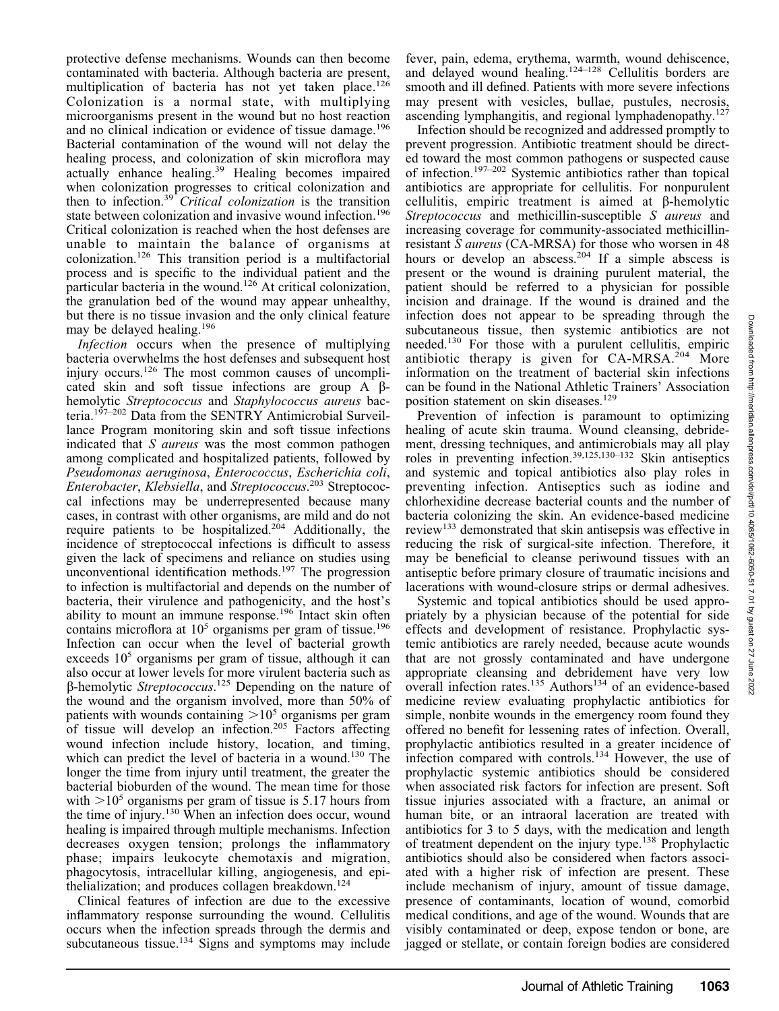27 June

protective defense mechanisms. Wounds can then become contaminated with bacteria. Although bacteria are present, multiplication of bacteria has not yet taken place.<sup>126</sup> Colonization is a normal state, with multiplying microorganisms present in the wound but no host reaction and no clinical indication or evidence of tissue damage.<sup>196</sup> Bacterial contamination of the wound will not delay the healing process, and colonization of skin microflora may actually enhance healing.<sup>39</sup> Healing becomes impaired when colonization progresses to critical colonization and then to infection.<sup>39</sup> Critical colonization is the transition state between colonization and invasive wound infection.<sup>196</sup> Critical colonization is reached when the host defenses are unable to maintain the balance of organisms at colonization.126 This transition period is a multifactorial process and is specific to the individual patient and the particular bacteria in the wound.126 At critical colonization, the granulation bed of the wound may appear unhealthy, but there is no tissue invasion and the only clinical feature may be delayed healing.196

Infection occurs when the presence of multiplying bacteria overwhelms the host defenses and subsequent host injury occurs.126 The most common causes of uncomplicated skin and soft tissue infections are group A  $\beta$ hemolytic Streptococcus and Staphylococcus aureus bacteria.197–202 Data from the SENTRY Antimicrobial Surveillance Program monitoring skin and soft tissue infections indicated that S *aureus* was the most common pathogen among complicated and hospitalized patients, followed by Pseudomonas aeruginosa, Enterococcus, Escherichia coli, Enterobacter, Klebsiella, and Streptococcus.<sup>203</sup> Streptococcal infections may be underrepresented because many cases, in contrast with other organisms, are mild and do not require patients to be hospitalized.204 Additionally, the incidence of streptococcal infections is difficult to assess given the lack of specimens and reliance on studies using unconventional identification methods.<sup>197</sup> The progression to infection is multifactorial and depends on the number of bacteria, their virulence and pathogenicity, and the host's ability to mount an immune response.<sup>196</sup> Intact skin often contains microflora at  $10<sup>5</sup>$  organisms per gram of tissue.<sup>196</sup> Infection can occur when the level of bacterial growth exceeds  $10<sup>5</sup>$  organisms per gram of tissue, although it can also occur at lower levels for more virulent bacteria such as  $\beta$ -hemolytic Streptococcus.<sup>125</sup> Depending on the nature of the wound and the organism involved, more than 50% of patients with wounds containing  $>10^5$  organisms per gram of tissue will develop an infection.<sup>205</sup> Factors affecting wound infection include history, location, and timing, which can predict the level of bacteria in a wound.<sup>130</sup> The longer the time from injury until treatment, the greater the bacterial bioburden of the wound. The mean time for those with  $>10^5$  organisms per gram of tissue is 5.17 hours from the time of injury.<sup>130</sup> When an infection does occur, wound healing is impaired through multiple mechanisms. Infection decreases oxygen tension; prolongs the inflammatory phase; impairs leukocyte chemotaxis and migration, phagocytosis, intracellular killing, angiogenesis, and epithe lialization; and produces collagen breakdown.<sup>124</sup>

Clinical features of infection are due to the excessive inflammatory response surrounding the wound. Cellulitis occurs when the infection spreads through the dermis and subcutaneous tissue.<sup>134</sup> Signs and symptoms may include fever, pain, edema, erythema, warmth, wound dehiscence, and delayed wound healing.124–128 Cellulitis borders are smooth and ill defined. Patients with more severe infections may present with vesicles, bullae, pustules, necrosis, ascending lymphangitis, and regional lymphadenopathy.<sup>127</sup>

Infection should be recognized and addressed promptly to prevent progression. Antibiotic treatment should be directed toward the most common pathogens or suspected cause of infection.197–202 Systemic antibiotics rather than topical antibiotics are appropriate for cellulitis. For nonpurulent cellulitis, empiric treatment is aimed at  $\beta$ -hemolytic Streptococcus and methicillin-susceptible S aureus and increasing coverage for community-associated methicillinresistant S aureus (CA-MRSA) for those who worsen in 48 hours or develop an abscess.<sup>204</sup> If a simple abscess is present or the wound is draining purulent material, the patient should be referred to a physician for possible incision and drainage. If the wound is drained and the infection does not appear to be spreading through the subcutaneous tissue, then systemic antibiotics are not needed.130 For those with a purulent cellulitis, empiric antibiotic therapy is given for CA-MRSA.<sup>204</sup> More information on the treatment of bacterial skin infections can be found in the National Athletic Trainers' Association position statement on skin diseases.<sup>129</sup>

Prevention of infection is paramount to optimizing healing of acute skin trauma. Wound cleansing, debridement, dressing techniques, and antimicrobials may all play roles in preventing infection.39,125,130–132 Skin antiseptics and systemic and topical antibiotics also play roles in preventing infection. Antiseptics such as iodine and chlorhexidine decrease bacterial counts and the number of bacteria colonizing the skin. An evidence-based medicine review<sup>133</sup> demonstrated that skin antisepsis was effective in reducing the risk of surgical-site infection. Therefore, it may be beneficial to cleanse periwound tissues with an antiseptic before primary closure of traumatic incisions and lacerations with wound-closure strips or dermal adhesives.

Systemic and topical antibiotics should be used appropriately by a physician because of the potential for side effects and development of resistance. Prophylactic systemic antibiotics are rarely needed, because acute wounds that are not grossly contaminated and have undergone appropriate cleansing and debridement have very low overall infection rates.<sup>135</sup> Authors<sup>134</sup> of an evidence-based medicine review evaluating prophylactic antibiotics for simple, nonbite wounds in the emergency room found they offered no benefit for lessening rates of infection. Overall, prophylactic antibiotics resulted in a greater incidence of infection compared with controls.<sup>134</sup> However, the use of prophylactic systemic antibiotics should be considered when associated risk factors for infection are present. Soft tissue injuries associated with a fracture, an animal or human bite, or an intraoral laceration are treated with antibiotics for 3 to 5 days, with the medication and length of treatment dependent on the injury type.<sup>138</sup> Prophylactic antibiotics should also be considered when factors associated with a higher risk of infection are present. These include mechanism of injury, amount of tissue damage, presence of contaminants, location of wound, comorbid medical conditions, and age of the wound. Wounds that are visibly contaminated or deep, expose tendon or bone, are jagged or stellate, or contain foreign bodies are considered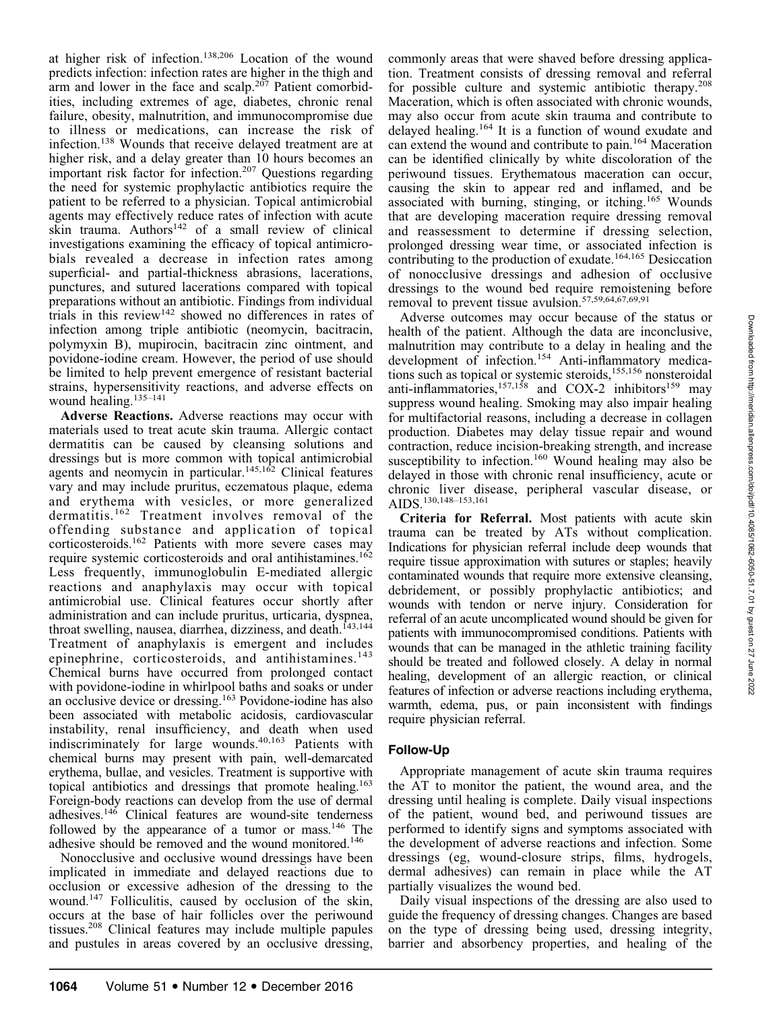at higher risk of infection.138,206 Location of the wound predicts infection: infection rates are higher in the thigh and arm and lower in the face and scalp.<sup>207</sup> Patient comorbidities, including extremes of age, diabetes, chronic renal failure, obesity, malnutrition, and immunocompromise due to illness or medications, can increase the risk of infection.138 Wounds that receive delayed treatment are at higher risk, and a delay greater than 10 hours becomes an important risk factor for infection.<sup>207</sup> Questions regarding the need for systemic prophylactic antibiotics require the patient to be referred to a physician. Topical antimicrobial agents may effectively reduce rates of infection with acute skin trauma. Authors<sup>142</sup> of a small review of clinical investigations examining the efficacy of topical antimicrobials revealed a decrease in infection rates among superficial- and partial-thickness abrasions, lacerations, punctures, and sutured lacerations compared with topical preparations without an antibiotic. Findings from individual trials in this review<sup>142</sup> showed no differences in rates of infection among triple antibiotic (neomycin, bacitracin, polymyxin B), mupirocin, bacitracin zinc ointment, and povidone-iodine cream. However, the period of use should be limited to help prevent emergence of resistant bacterial strains, hypersensitivity reactions, and adverse effects on wound healing.<sup>135–141</sup>

Adverse Reactions. Adverse reactions may occur with materials used to treat acute skin trauma. Allergic contact dermatitis can be caused by cleansing solutions and dressings but is more common with topical antimicrobial agents and neomycin in particular.<sup>145,162</sup> Clinical features vary and may include pruritus, eczematous plaque, edema and erythema with vesicles, or more generalized dermatitis.<sup>162</sup> Treatment involves removal of the offending substance and application of topical corticosteroids.162 Patients with more severe cases may require systemic corticosteroids and oral antihistamines.<sup>162</sup> Less frequently, immunoglobulin E-mediated allergic reactions and anaphylaxis may occur with topical antimicrobial use. Clinical features occur shortly after administration and can include pruritus, urticaria, dyspnea, throat swelling, nausea, diarrhea, dizziness, and death.<sup>143,144</sup> Treatment of anaphylaxis is emergent and includes epinephrine, corticosteroids, and antihistamines.<sup>143</sup> Chemical burns have occurred from prolonged contact with povidone-iodine in whirlpool baths and soaks or under an occlusive device or dressing.163 Povidone-iodine has also been associated with metabolic acidosis, cardiovascular instability, renal insufficiency, and death when used indiscriminately for large wounds.40,163 Patients with chemical burns may present with pain, well-demarcated erythema, bullae, and vesicles. Treatment is supportive with topical antibiotics and dressings that promote healing.163 Foreign-body reactions can develop from the use of dermal adhesives.146 Clinical features are wound-site tenderness followed by the appearance of a tumor or mass.<sup>146</sup> The adhesive should be removed and the wound monitored.<sup>146</sup>

Nonocclusive and occlusive wound dressings have been implicated in immediate and delayed reactions due to occlusion or excessive adhesion of the dressing to the wound.147 Folliculitis, caused by occlusion of the skin, occurs at the base of hair follicles over the periwound tissues.208 Clinical features may include multiple papules and pustules in areas covered by an occlusive dressing,

commonly areas that were shaved before dressing application. Treatment consists of dressing removal and referral for possible culture and systemic antibiotic therapy.<sup>208</sup> Maceration, which is often associated with chronic wounds, may also occur from acute skin trauma and contribute to delayed healing.164 It is a function of wound exudate and can extend the wound and contribute to pain.164 Maceration can be identified clinically by white discoloration of the periwound tissues. Erythematous maceration can occur, causing the skin to appear red and inflamed, and be associated with burning, stinging, or itching.<sup>165</sup> Wounds that are developing maceration require dressing removal and reassessment to determine if dressing selection, prolonged dressing wear time, or associated infection is contributing to the production of exudate.<sup>164,165</sup> Desiccation of nonocclusive dressings and adhesion of occlusive dressings to the wound bed require remoistening before removal to prevent tissue avulsion.57,59,64,67,69,91

Adverse outcomes may occur because of the status or health of the patient. Although the data are inconclusive, malnutrition may contribute to a delay in healing and the development of infection.154 Anti-inflammatory medications such as topical or systemic steroids,<sup>155,156</sup> nonsteroidal anti-inflammatories, $157,158$  and COX-2 inhibitors<sup>159</sup> may suppress wound healing. Smoking may also impair healing for multifactorial reasons, including a decrease in collagen production. Diabetes may delay tissue repair and wound contraction, reduce incision-breaking strength, and increase susceptibility to infection.<sup>160</sup> Wound healing may also be delayed in those with chronic renal insufficiency, acute or chronic liver disease, peripheral vascular disease, or AIDS.130,148–153,161

Criteria for Referral. Most patients with acute skin trauma can be treated by ATs without complication. Indications for physician referral include deep wounds that require tissue approximation with sutures or staples; heavily contaminated wounds that require more extensive cleansing, debridement, or possibly prophylactic antibiotics; and wounds with tendon or nerve injury. Consideration for referral of an acute uncomplicated wound should be given for patients with immunocompromised conditions. Patients with wounds that can be managed in the athletic training facility should be treated and followed closely. A delay in normal healing, development of an allergic reaction, or clinical features of infection or adverse reactions including erythema, warmth, edema, pus, or pain inconsistent with findings require physician referral.

# Follow-Up

Appropriate management of acute skin trauma requires the AT to monitor the patient, the wound area, and the dressing until healing is complete. Daily visual inspections of the patient, wound bed, and periwound tissues are performed to identify signs and symptoms associated with the development of adverse reactions and infection. Some dressings (eg, wound-closure strips, films, hydrogels, dermal adhesives) can remain in place while the AT partially visualizes the wound bed.

Daily visual inspections of the dressing are also used to guide the frequency of dressing changes. Changes are based on the type of dressing being used, dressing integrity, barrier and absorbency properties, and healing of the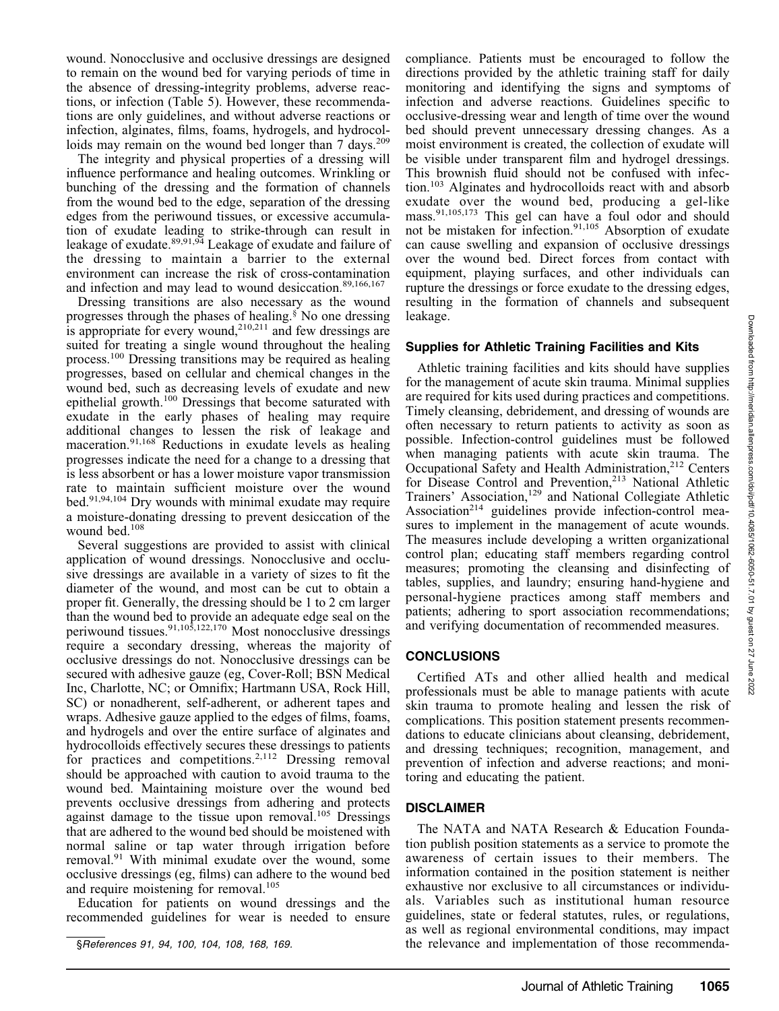wound. Nonocclusive and occlusive dressings are designed to remain on the wound bed for varying periods of time in the absence of dressing-integrity problems, adverse reactions, or infection (Table 5). However, these recommendations are only guidelines, and without adverse reactions or infection, alginates, films, foams, hydrogels, and hydrocolloids may remain on the wound bed longer than  $7 \text{ days}$ .<sup>209</sup>

The integrity and physical properties of a dressing will influence performance and healing outcomes. Wrinkling or bunching of the dressing and the formation of channels from the wound bed to the edge, separation of the dressing edges from the periwound tissues, or excessive accumulation of exudate leading to strike-through can result in leakage of exudate.<sup>89,91,94</sup> Leakage of exudate and failure of the dressing to maintain a barrier to the external environment can increase the risk of cross-contamination and infection and may lead to wound desiccation.<sup>89,166,167</sup>

Dressing transitions are also necessary as the wound progresses through the phases of healing.§ No one dressing is appropriate for every wound,<sup>210,211</sup> and few dressings are suited for treating a single wound throughout the healing process.100 Dressing transitions may be required as healing progresses, based on cellular and chemical changes in the wound bed, such as decreasing levels of exudate and new epithelial growth.<sup>100</sup> Dressings that become saturated with exudate in the early phases of healing may require additional changes to lessen the risk of leakage and maceration.<sup>91,168</sup> Reductions in exudate levels as healing progresses indicate the need for a change to a dressing that is less absorbent or has a lower moisture vapor transmission rate to maintain sufficient moisture over the wound bed.<sup>91,94,104</sup> Dry wounds with minimal exudate may require a moisture-donating dressing to prevent desiccation of the wound bed.<sup>108</sup>

Several suggestions are provided to assist with clinical application of wound dressings. Nonocclusive and occlusive dressings are available in a variety of sizes to fit the diameter of the wound, and most can be cut to obtain a proper fit. Generally, the dressing should be 1 to 2 cm larger than the wound bed to provide an adequate edge seal on the periwound tissues.<sup>91,105,122,170</sup> Most nonocclusive dressings require a secondary dressing, whereas the majority of occlusive dressings do not. Nonocclusive dressings can be secured with adhesive gauze (eg, Cover-Roll; BSN Medical Inc, Charlotte, NC; or Omnifix; Hartmann USA, Rock Hill, SC) or nonadherent, self-adherent, or adherent tapes and wraps. Adhesive gauze applied to the edges of films, foams, and hydrogels and over the entire surface of alginates and hydrocolloids effectively secures these dressings to patients for practices and competitions.<sup>2,112</sup> Dressing removal should be approached with caution to avoid trauma to the wound bed. Maintaining moisture over the wound bed prevents occlusive dressings from adhering and protects against damage to the tissue upon removal.<sup>105</sup> Dressings that are adhered to the wound bed should be moistened with normal saline or tap water through irrigation before removal.<sup>91</sup> With minimal exudate over the wound, some occlusive dressings (eg, films) can adhere to the wound bed and require moistening for removal.<sup>105</sup>

Education for patients on wound dressings and the recommended guidelines for wear is needed to ensure

compliance. Patients must be encouraged to follow the directions provided by the athletic training staff for daily monitoring and identifying the signs and symptoms of infection and adverse reactions. Guidelines specific to occlusive-dressing wear and length of time over the wound bed should prevent unnecessary dressing changes. As a moist environment is created, the collection of exudate will be visible under transparent film and hydrogel dressings. This brownish fluid should not be confused with infection.103 Alginates and hydrocolloids react with and absorb exudate over the wound bed, producing a gel-like mass.91,105,173 This gel can have a foul odor and should not be mistaken for infection.<sup>91,105</sup> Absorption of exudate can cause swelling and expansion of occlusive dressings over the wound bed. Direct forces from contact with equipment, playing surfaces, and other individuals can rupture the dressings or force exudate to the dressing edges, resulting in the formation of channels and subsequent leakage.

#### Supplies for Athletic Training Facilities and Kits

Athletic training facilities and kits should have supplies for the management of acute skin trauma. Minimal supplies are required for kits used during practices and competitions. Timely cleansing, debridement, and dressing of wounds are often necessary to return patients to activity as soon as possible. Infection-control guidelines must be followed when managing patients with acute skin trauma. The Occupational Safety and Health Administration,<sup>212</sup> Centers for Disease Control and Prevention,<sup>213</sup> National Athletic Trainers' Association,<sup>129</sup> and National Collegiate Athletic Association<sup>214</sup> guidelines provide infection-control measures to implement in the management of acute wounds. The measures include developing a written organizational control plan; educating staff members regarding control measures; promoting the cleansing and disinfecting of tables, supplies, and laundry; ensuring hand-hygiene and personal-hygiene practices among staff members and patients; adhering to sport association recommendations; and verifying documentation of recommended measures.

# **CONCLUSIONS**

Certified ATs and other allied health and medical professionals must be able to manage patients with acute skin trauma to promote healing and lessen the risk of complications. This position statement presents recommendations to educate clinicians about cleansing, debridement, and dressing techniques; recognition, management, and prevention of infection and adverse reactions; and monitoring and educating the patient.

# DISCLAIMER

The NATA and NATA Research & Education Foundation publish position statements as a service to promote the awareness of certain issues to their members. The information contained in the position statement is neither exhaustive nor exclusive to all circumstances or individuals. Variables such as institutional human resource guidelines, state or federal statutes, rules, or regulations, as well as regional environmental conditions, may impact §References 91, 94, 100, 104, 108, 168, 169. the relevance and implementation of those recommenda-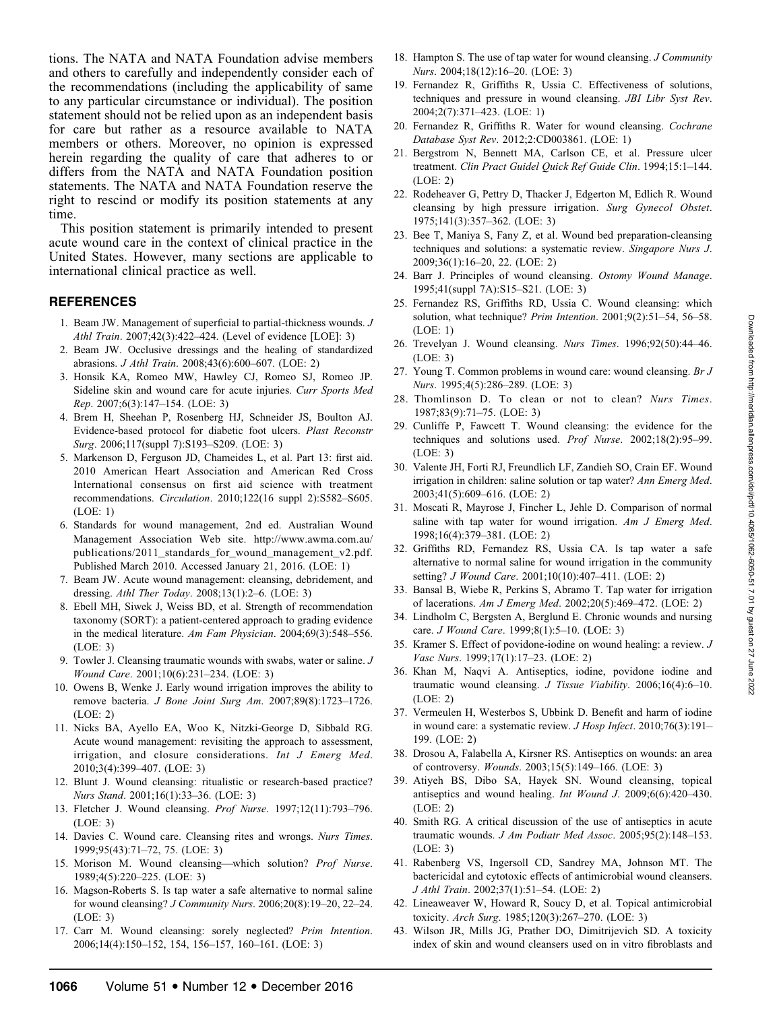tions. The NATA and NATA Foundation advise members and others to carefully and independently consider each of the recommendations (including the applicability of same to any particular circumstance or individual). The position statement should not be relied upon as an independent basis for care but rather as a resource available to NATA members or others. Moreover, no opinion is expressed herein regarding the quality of care that adheres to or differs from the NATA and NATA Foundation position statements. The NATA and NATA Foundation reserve the right to rescind or modify its position statements at any time.

This position statement is primarily intended to present acute wound care in the context of clinical practice in the United States. However, many sections are applicable to international clinical practice as well.

#### REFERENCES

- 1. Beam JW. Management of superficial to partial-thickness wounds. J Athl Train. 2007;42(3):422–424. (Level of evidence [LOE]: 3)
- 2. Beam JW. Occlusive dressings and the healing of standardized abrasions. J Athl Train. 2008;43(6):600–607. (LOE: 2)
- 3. Honsik KA, Romeo MW, Hawley CJ, Romeo SJ, Romeo JP. Sideline skin and wound care for acute injuries. Curr Sports Med Rep. 2007;6(3):147–154. (LOE: 3)
- 4. Brem H, Sheehan P, Rosenberg HJ, Schneider JS, Boulton AJ. Evidence-based protocol for diabetic foot ulcers. Plast Reconstr Surg. 2006;117(suppl 7):S193–S209. (LOE: 3)
- 5. Markenson D, Ferguson JD, Chameides L, et al. Part 13: first aid. 2010 American Heart Association and American Red Cross International consensus on first aid science with treatment recommendations. Circulation. 2010;122(16 suppl 2):S582–S605. (LOE: 1)
- 6. Standards for wound management, 2nd ed. Australian Wound Management Association Web site. http://www.awma.com.au/ publications/2011\_standards\_for\_wound\_management\_v2.pdf. Published March 2010. Accessed January 21, 2016. (LOE: 1)
- 7. Beam JW. Acute wound management: cleansing, debridement, and dressing. Athl Ther Today. 2008;13(1):2–6. (LOE: 3)
- 8. Ebell MH, Siwek J, Weiss BD, et al. Strength of recommendation taxonomy (SORT): a patient-centered approach to grading evidence in the medical literature. Am Fam Physician. 2004;69(3):548–556. (LOE: 3)
- 9. Towler J. Cleansing traumatic wounds with swabs, water or saline. J Wound Care. 2001;10(6):231–234. (LOE: 3)
- 10. Owens B, Wenke J. Early wound irrigation improves the ability to remove bacteria. J Bone Joint Surg Am. 2007;89(8):1723–1726. (LOE: 2)
- 11. Nicks BA, Ayello EA, Woo K, Nitzki-George D, Sibbald RG. Acute wound management: revisiting the approach to assessment, irrigation, and closure considerations. Int J Emerg Med. 2010;3(4):399–407. (LOE: 3)
- 12. Blunt J. Wound cleansing: ritualistic or research-based practice? Nurs Stand. 2001;16(1):33–36. (LOE: 3)
- 13. Fletcher J. Wound cleansing. Prof Nurse. 1997;12(11):793–796. (LOE: 3)
- 14. Davies C. Wound care. Cleansing rites and wrongs. Nurs Times. 1999;95(43):71–72, 75. (LOE: 3)
- 15. Morison M. Wound cleansing—which solution? Prof Nurse. 1989;4(5):220–225. (LOE: 3)
- 16. Magson-Roberts S. Is tap water a safe alternative to normal saline for wound cleansing? J Community Nurs. 2006;20(8):19–20, 22–24. (LOE: 3)
- 17. Carr M. Wound cleansing: sorely neglected? Prim Intention. 2006;14(4):150–152, 154, 156–157, 160–161. (LOE: 3)
- 18. Hampton S. The use of tap water for wound cleansing. *J Community* Nurs. 2004;18(12):16–20. (LOE: 3)
- 19. Fernandez R, Griffiths R, Ussia C. Effectiveness of solutions, techniques and pressure in wound cleansing. JBI Libr Syst Rev. 2004;2(7):371–423. (LOE: 1)
- 20. Fernandez R, Griffiths R. Water for wound cleansing. Cochrane Database Syst Rev. 2012;2:CD003861. (LOE: 1)
- 21. Bergstrom N, Bennett MA, Carlson CE, et al. Pressure ulcer treatment. Clin Pract Guidel Quick Ref Guide Clin. 1994;15:1–144. (LOE: 2)
- 22. Rodeheaver G, Pettry D, Thacker J, Edgerton M, Edlich R. Wound cleansing by high pressure irrigation. Surg Gynecol Obstet. 1975;141(3):357–362. (LOE: 3)
- 23. Bee T, Maniya S, Fany Z, et al. Wound bed preparation-cleansing techniques and solutions: a systematic review. Singapore Nurs J. 2009;36(1):16–20, 22. (LOE: 2)
- 24. Barr J. Principles of wound cleansing. Ostomy Wound Manage. 1995;41(suppl 7A):S15–S21. (LOE: 3)
- 25. Fernandez RS, Griffiths RD, Ussia C. Wound cleansing: which solution, what technique? Prim Intention. 2001;9(2):51–54, 56–58. (LOE: 1)
- 26. Trevelyan J. Wound cleansing. Nurs Times. 1996;92(50):44–46. (LOE: 3)
- 27. Young T. Common problems in wound care: wound cleansing. Br J Nurs. 1995;4(5):286–289. (LOE: 3)
- 28. Thomlinson D. To clean or not to clean? Nurs Times. 1987;83(9):71–75. (LOE: 3)
- 29. Cunliffe P, Fawcett T. Wound cleansing: the evidence for the techniques and solutions used. Prof Nurse. 2002;18(2):95–99. (LOE: 3)
- 30. Valente JH, Forti RJ, Freundlich LF, Zandieh SO, Crain EF. Wound irrigation in children: saline solution or tap water? Ann Emerg Med. 2003;41(5):609–616. (LOE: 2)
- 31. Moscati R, Mayrose J, Fincher L, Jehle D. Comparison of normal saline with tap water for wound irrigation. Am J Emerg Med. 1998;16(4):379–381. (LOE: 2)
- 32. Griffiths RD, Fernandez RS, Ussia CA. Is tap water a safe alternative to normal saline for wound irrigation in the community setting? J Wound Care. 2001;10(10):407–411. (LOE: 2)
- 33. Bansal B, Wiebe R, Perkins S, Abramo T. Tap water for irrigation of lacerations. Am J Emerg Med. 2002;20(5):469–472. (LOE: 2)
- 34. Lindholm C, Bergsten A, Berglund E. Chronic wounds and nursing care. J Wound Care. 1999;8(1):5–10. (LOE: 3)
- 35. Kramer S. Effect of povidone-iodine on wound healing: a review. J Vasc Nurs. 1999;17(1):17–23. (LOE: 2)
- 36. Khan M, Naqvi A. Antiseptics, iodine, povidone iodine and traumatic wound cleansing. J Tissue Viability. 2006;16(4):6–10. (LOE: 2)
- 37. Vermeulen H, Westerbos S, Ubbink D. Benefit and harm of iodine in wound care: a systematic review. J Hosp Infect. 2010;76(3):191– 199. (LOE: 2)
- 38. Drosou A, Falabella A, Kirsner RS. Antiseptics on wounds: an area of controversy. Wounds. 2003;15(5):149–166. (LOE: 3)
- 39. Atiyeh BS, Dibo SA, Hayek SN. Wound cleansing, topical antiseptics and wound healing. Int Wound J. 2009;6(6):420–430. (LOE: 2)
- 40. Smith RG. A critical discussion of the use of antiseptics in acute traumatic wounds. J Am Podiatr Med Assoc. 2005;95(2):148-153. (LOE: 3)
- 41. Rabenberg VS, Ingersoll CD, Sandrey MA, Johnson MT. The bactericidal and cytotoxic effects of antimicrobial wound cleansers. J Athl Train. 2002;37(1):51–54. (LOE: 2)
- 42. Lineaweaver W, Howard R, Soucy D, et al. Topical antimicrobial toxicity. Arch Surg. 1985;120(3):267–270. (LOE: 3)
- 43. Wilson JR, Mills JG, Prather DO, Dimitrijevich SD. A toxicity index of skin and wound cleansers used on in vitro fibroblasts and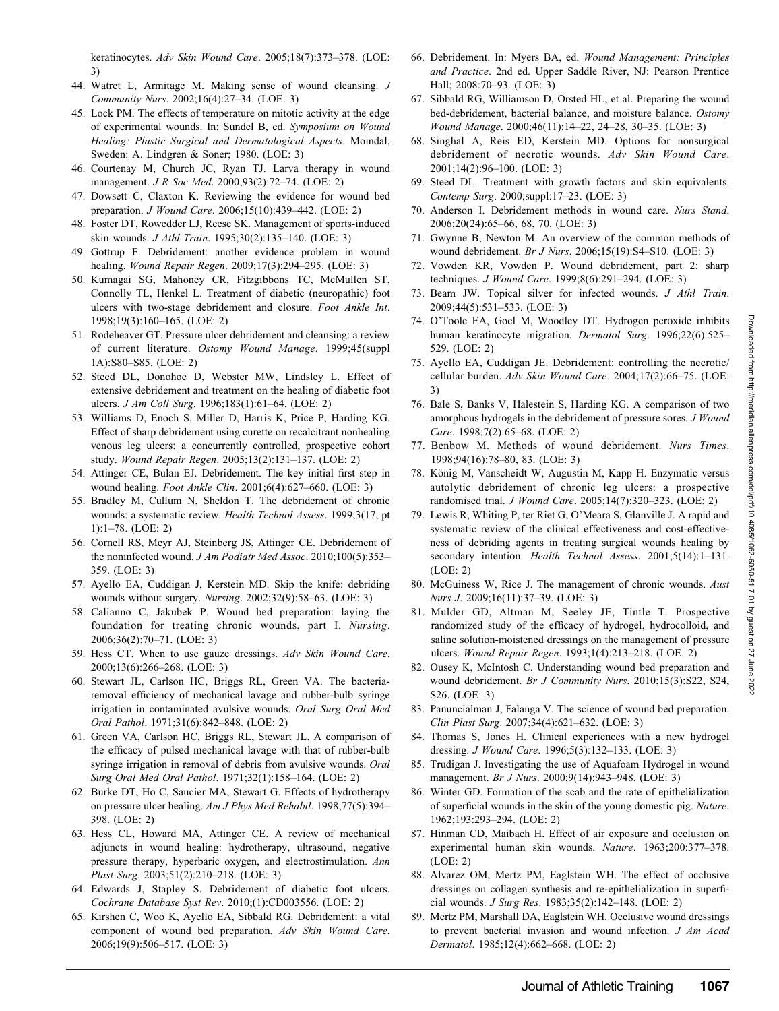- 44. Watret L, Armitage M. Making sense of wound cleansing. J Community Nurs. 2002;16(4):27–34. (LOE: 3)
- 45. Lock PM. The effects of temperature on mitotic activity at the edge of experimental wounds. In: Sundel B, ed. Symposium on Wound Healing: Plastic Surgical and Dermatological Aspects. Moindal, Sweden: A. Lindgren & Soner; 1980. (LOE: 3)
- 46. Courtenay M, Church JC, Ryan TJ. Larva therapy in wound management. *J R Soc Med.* 2000;93(2):72–74. (LOE: 2)
- 47. Dowsett C, Claxton K. Reviewing the evidence for wound bed preparation. J Wound Care. 2006;15(10):439–442. (LOE: 2)
- 48. Foster DT, Rowedder LJ, Reese SK. Management of sports-induced skin wounds. J Athl Train. 1995;30(2):135–140. (LOE: 3)
- 49. Gottrup F. Debridement: another evidence problem in wound healing. Wound Repair Regen. 2009;17(3):294–295. (LOE: 3)
- 50. Kumagai SG, Mahoney CR, Fitzgibbons TC, McMullen ST, Connolly TL, Henkel L. Treatment of diabetic (neuropathic) foot ulcers with two-stage debridement and closure. Foot Ankle Int. 1998;19(3):160–165. (LOE: 2)
- 51. Rodeheaver GT. Pressure ulcer debridement and cleansing: a review of current literature. Ostomy Wound Manage. 1999;45(suppl 1A):S80–S85. (LOE: 2)
- 52. Steed DL, Donohoe D, Webster MW, Lindsley L. Effect of extensive debridement and treatment on the healing of diabetic foot ulcers. J Am Coll Surg. 1996;183(1):61–64. (LOE: 2)
- 53. Williams D, Enoch S, Miller D, Harris K, Price P, Harding KG. Effect of sharp debridement using curette on recalcitrant nonhealing venous leg ulcers: a concurrently controlled, prospective cohort study. Wound Repair Regen. 2005;13(2):131–137. (LOE: 2)
- 54. Attinger CE, Bulan EJ. Debridement. The key initial first step in wound healing. Foot Ankle Clin. 2001;6(4):627–660. (LOE: 3)
- 55. Bradley M, Cullum N, Sheldon T. The debridement of chronic wounds: a systematic review. Health Technol Assess. 1999;3(17, pt 1):1–78. (LOE: 2)
- 56. Cornell RS, Meyr AJ, Steinberg JS, Attinger CE. Debridement of the noninfected wound. J Am Podiatr Med Assoc. 2010;100(5):353-359. (LOE: 3)
- 57. Ayello EA, Cuddigan J, Kerstein MD. Skip the knife: debriding wounds without surgery. Nursing. 2002;32(9):58–63. (LOE: 3)
- 58. Calianno C, Jakubek P. Wound bed preparation: laying the foundation for treating chronic wounds, part I. Nursing. 2006;36(2):70–71. (LOE: 3)
- 59. Hess CT. When to use gauze dressings. Adv Skin Wound Care. 2000;13(6):266–268. (LOE: 3)
- 60. Stewart JL, Carlson HC, Briggs RL, Green VA. The bacteriaremoval efficiency of mechanical lavage and rubber-bulb syringe irrigation in contaminated avulsive wounds. Oral Surg Oral Med Oral Pathol. 1971;31(6):842–848. (LOE: 2)
- 61. Green VA, Carlson HC, Briggs RL, Stewart JL. A comparison of the efficacy of pulsed mechanical lavage with that of rubber-bulb syringe irrigation in removal of debris from avulsive wounds. Oral Surg Oral Med Oral Pathol. 1971;32(1):158–164. (LOE: 2)
- 62. Burke DT, Ho C, Saucier MA, Stewart G. Effects of hydrotherapy on pressure ulcer healing. Am J Phys Med Rehabil. 1998;77(5):394– 398. (LOE: 2)
- 63. Hess CL, Howard MA, Attinger CE. A review of mechanical adjuncts in wound healing: hydrotherapy, ultrasound, negative pressure therapy, hyperbaric oxygen, and electrostimulation. Ann Plast Surg. 2003;51(2):210–218. (LOE: 3)
- 64. Edwards J, Stapley S. Debridement of diabetic foot ulcers. Cochrane Database Syst Rev. 2010;(1):CD003556. (LOE: 2)
- 65. Kirshen C, Woo K, Ayello EA, Sibbald RG. Debridement: a vital component of wound bed preparation. Adv Skin Wound Care. 2006;19(9):506–517. (LOE: 3)
- 66. Debridement. In: Myers BA, ed. Wound Management: Principles and Practice. 2nd ed. Upper Saddle River, NJ: Pearson Prentice Hall; 2008:70–93. (LOE: 3)
- 67. Sibbald RG, Williamson D, Orsted HL, et al. Preparing the wound bed-debridement, bacterial balance, and moisture balance. Ostomy Wound Manage. 2000;46(11):14–22, 24–28, 30–35. (LOE: 3)
- 68. Singhal A, Reis ED, Kerstein MD. Options for nonsurgical debridement of necrotic wounds. Adv Skin Wound Care. 2001;14(2):96–100. (LOE: 3)
- 69. Steed DL. Treatment with growth factors and skin equivalents. Contemp Surg. 2000;suppl:17–23. (LOE: 3)
- 70. Anderson I. Debridement methods in wound care. Nurs Stand. 2006;20(24):65–66, 68, 70. (LOE: 3)
- 71. Gwynne B, Newton M. An overview of the common methods of wound debridement. Br J Nurs. 2006;15(19):S4–S10. (LOE: 3)
- 72. Vowden KR, Vowden P. Wound debridement, part 2: sharp techniques. J Wound Care. 1999;8(6):291–294. (LOE: 3)
- 73. Beam JW. Topical silver for infected wounds. J Athl Train. 2009;44(5):531–533. (LOE: 3)
- 74. O'Toole EA, Goel M, Woodley DT. Hydrogen peroxide inhibits human keratinocyte migration. Dermatol Surg. 1996;22(6):525– 529. (LOE: 2)
- 75. Ayello EA, Cuddigan JE. Debridement: controlling the necrotic/ cellular burden. Adv Skin Wound Care. 2004;17(2):66–75. (LOE: 3)
- 76. Bale S, Banks V, Halestein S, Harding KG. A comparison of two amorphous hydrogels in the debridement of pressure sores. J Wound Care. 1998;7(2):65–68. (LOE: 2)
- 77. Benbow M. Methods of wound debridement. Nurs Times. 1998;94(16):78–80, 83. (LOE: 3)
- 78. König M, Vanscheidt W, Augustin M, Kapp H. Enzymatic versus autolytic debridement of chronic leg ulcers: a prospective randomised trial. J Wound Care. 2005;14(7):320–323. (LOE: 2)
- 79. Lewis R, Whiting P, ter Riet G, O'Meara S, Glanville J. A rapid and systematic review of the clinical effectiveness and cost-effectiveness of debriding agents in treating surgical wounds healing by secondary intention. Health Technol Assess. 2001;5(14):1-131. (LOE: 2)
- 80. McGuiness W, Rice J. The management of chronic wounds. Aust Nurs J. 2009;16(11):37–39. (LOE: 3)
- 81. Mulder GD, Altman M, Seeley JE, Tintle T. Prospective randomized study of the efficacy of hydrogel, hydrocolloid, and saline solution-moistened dressings on the management of pressure ulcers. Wound Repair Regen. 1993;1(4):213–218. (LOE: 2)
- 82. Ousey K, McIntosh C. Understanding wound bed preparation and wound debridement. Br J Community Nurs. 2010;15(3):S22, S24, S26. (LOE: 3)
- 83. Panuncialman J, Falanga V. The science of wound bed preparation. Clin Plast Surg. 2007;34(4):621–632. (LOE: 3)
- 84. Thomas S, Jones H. Clinical experiences with a new hydrogel dressing. J Wound Care. 1996;5(3):132–133. (LOE: 3)
- 85. Trudigan J. Investigating the use of Aquafoam Hydrogel in wound management. Br J Nurs. 2000;9(14):943–948. (LOE: 3)
- 86. Winter GD. Formation of the scab and the rate of epithelialization of superficial wounds in the skin of the young domestic pig. Nature. 1962;193:293–294. (LOE: 2)
- 87. Hinman CD, Maibach H. Effect of air exposure and occlusion on experimental human skin wounds. Nature. 1963;200:377–378. (LOE: 2)
- 88. Alvarez OM, Mertz PM, Eaglstein WH. The effect of occlusive dressings on collagen synthesis and re-epithelialization in superficial wounds. J Surg Res. 1983;35(2):142–148. (LOE: 2)
- 89. Mertz PM, Marshall DA, Eaglstein WH. Occlusive wound dressings to prevent bacterial invasion and wound infection. J Am Acad Dermatol. 1985;12(4):662–668. (LOE: 2)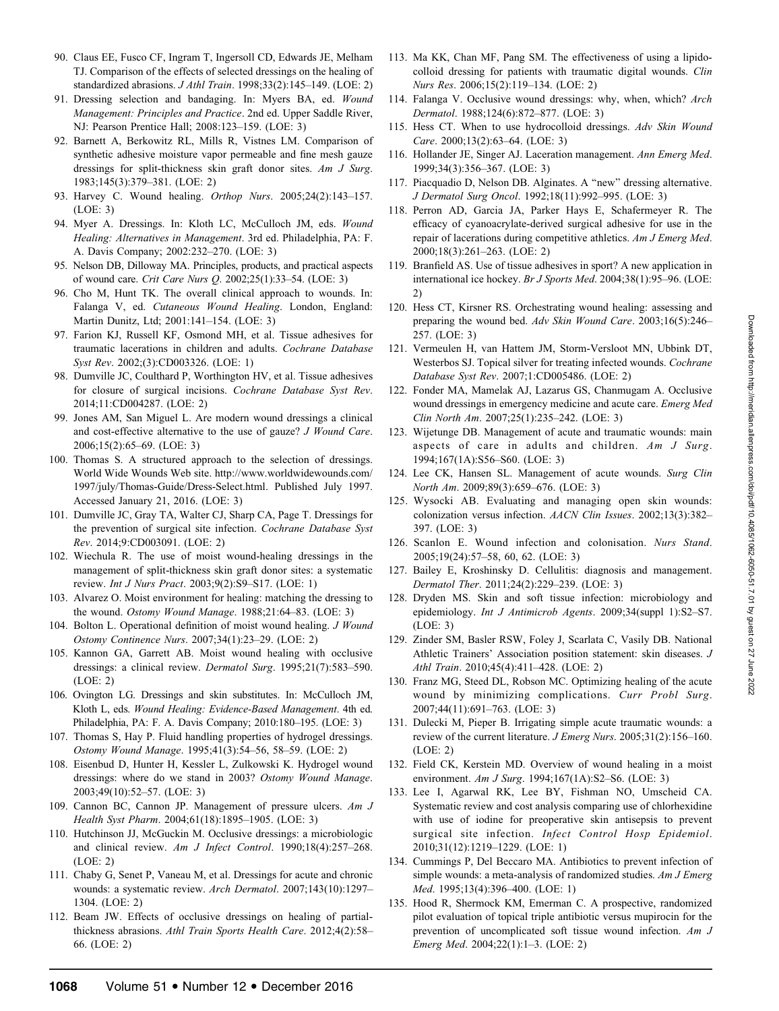- 90. Claus EE, Fusco CF, Ingram T, Ingersoll CD, Edwards JE, Melham TJ. Comparison of the effects of selected dressings on the healing of standardized abrasions. J Athl Train. 1998;33(2):145–149. (LOE: 2)
- 91. Dressing selection and bandaging. In: Myers BA, ed. Wound Management: Principles and Practice. 2nd ed. Upper Saddle River, NJ: Pearson Prentice Hall; 2008:123–159. (LOE: 3)
- 92. Barnett A, Berkowitz RL, Mills R, Vistnes LM. Comparison of synthetic adhesive moisture vapor permeable and fine mesh gauze dressings for split-thickness skin graft donor sites. Am J Surg. 1983;145(3):379–381. (LOE: 2)
- 93. Harvey C. Wound healing. Orthop Nurs. 2005;24(2):143–157. (LOE: 3)
- 94. Myer A. Dressings. In: Kloth LC, McCulloch JM, eds. Wound Healing: Alternatives in Management. 3rd ed. Philadelphia, PA: F. A. Davis Company; 2002:232–270. (LOE: 3)
- 95. Nelson DB, Dilloway MA. Principles, products, and practical aspects of wound care. Crit Care Nurs Q. 2002;25(1):33–54. (LOE: 3)
- 96. Cho M, Hunt TK. The overall clinical approach to wounds. In: Falanga V, ed. Cutaneous Wound Healing. London, England: Martin Dunitz, Ltd; 2001:141–154. (LOE: 3)
- 97. Farion KJ, Russell KF, Osmond MH, et al. Tissue adhesives for traumatic lacerations in children and adults. Cochrane Database Syst Rev. 2002;(3):CD003326. (LOE: 1)
- 98. Dumville JC, Coulthard P, Worthington HV, et al. Tissue adhesives for closure of surgical incisions. Cochrane Database Syst Rev. 2014;11:CD004287. (LOE: 2)
- 99. Jones AM, San Miguel L. Are modern wound dressings a clinical and cost-effective alternative to the use of gauze? J Wound Care. 2006;15(2):65–69. (LOE: 3)
- 100. Thomas S. A structured approach to the selection of dressings. World Wide Wounds Web site. http://www.worldwidewounds.com/ 1997/july/Thomas-Guide/Dress-Select.html. Published July 1997. Accessed January 21, 2016. (LOE: 3)
- 101. Dumville JC, Gray TA, Walter CJ, Sharp CA, Page T. Dressings for the prevention of surgical site infection. Cochrane Database Syst Rev. 2014;9:CD003091. (LOE: 2)
- 102. Wiechula R. The use of moist wound-healing dressings in the management of split-thickness skin graft donor sites: a systematic review. Int J Nurs Pract. 2003;9(2):S9–S17. (LOE: 1)
- 103. Alvarez O. Moist environment for healing: matching the dressing to the wound. Ostomy Wound Manage. 1988;21:64–83. (LOE: 3)
- 104. Bolton L. Operational definition of moist wound healing. J Wound Ostomy Continence Nurs. 2007;34(1):23–29. (LOE: 2)
- 105. Kannon GA, Garrett AB. Moist wound healing with occlusive dressings: a clinical review. Dermatol Surg. 1995;21(7):583–590. (LOE: 2)
- 106. Ovington LG. Dressings and skin substitutes. In: McCulloch JM, Kloth L, eds. Wound Healing: Evidence-Based Management. 4th ed. Philadelphia, PA: F. A. Davis Company; 2010:180–195. (LOE: 3)
- 107. Thomas S, Hay P. Fluid handling properties of hydrogel dressings. Ostomy Wound Manage. 1995;41(3):54–56, 58–59. (LOE: 2)
- 108. Eisenbud D, Hunter H, Kessler L, Zulkowski K. Hydrogel wound dressings: where do we stand in 2003? Ostomy Wound Manage. 2003;49(10):52–57. (LOE: 3)
- 109. Cannon BC, Cannon JP. Management of pressure ulcers. Am J Health Syst Pharm. 2004;61(18):1895–1905. (LOE: 3)
- 110. Hutchinson JJ, McGuckin M. Occlusive dressings: a microbiologic and clinical review. Am J Infect Control. 1990;18(4):257–268. (LOE: 2)
- 111. Chaby G, Senet P, Vaneau M, et al. Dressings for acute and chronic wounds: a systematic review. Arch Dermatol. 2007;143(10):1297– 1304. (LOE: 2)
- 112. Beam JW. Effects of occlusive dressings on healing of partialthickness abrasions. Athl Train Sports Health Care. 2012;4(2):58-66. (LOE: 2)
- 113. Ma KK, Chan MF, Pang SM. The effectiveness of using a lipidocolloid dressing for patients with traumatic digital wounds. Clin Nurs Res. 2006;15(2):119–134. (LOE: 2)
- 114. Falanga V. Occlusive wound dressings: why, when, which? Arch Dermatol. 1988;124(6):872–877. (LOE: 3)
- 115. Hess CT. When to use hydrocolloid dressings. Adv Skin Wound Care. 2000;13(2):63–64. (LOE: 3)
- 116. Hollander JE, Singer AJ. Laceration management. Ann Emerg Med. 1999;34(3):356–367. (LOE: 3)
- 117. Piacquadio D, Nelson DB. Alginates. A ''new'' dressing alternative. J Dermatol Surg Oncol. 1992;18(11):992–995. (LOE: 3)
- 118. Perron AD, Garcia JA, Parker Hays E, Schafermeyer R. The efficacy of cyanoacrylate-derived surgical adhesive for use in the repair of lacerations during competitive athletics. Am J Emerg Med. 2000;18(3):261–263. (LOE: 2)
- 119. Branfield AS. Use of tissue adhesives in sport? A new application in international ice hockey. Br J Sports Med. 2004;38(1):95–96. (LOE: 2)
- 120. Hess CT, Kirsner RS. Orchestrating wound healing: assessing and preparing the wound bed. Adv Skin Wound Care. 2003;16(5):246– 257. (LOE: 3)
- 121. Vermeulen H, van Hattem JM, Storm-Versloot MN, Ubbink DT, Westerbos SJ. Topical silver for treating infected wounds. Cochrane Database Syst Rev. 2007;1:CD005486. (LOE: 2)
- 122. Fonder MA, Mamelak AJ, Lazarus GS, Chanmugam A. Occlusive wound dressings in emergency medicine and acute care. Emerg Med Clin North Am. 2007;25(1):235–242. (LOE: 3)
- 123. Wijetunge DB. Management of acute and traumatic wounds: main aspects of care in adults and children. Am J Surg. 1994;167(1A):S56–S60. (LOE: 3)
- 124. Lee CK, Hansen SL. Management of acute wounds. Surg Clin North Am. 2009;89(3):659–676. (LOE: 3)
- 125. Wysocki AB. Evaluating and managing open skin wounds: colonization versus infection. AACN Clin Issues. 2002;13(3):382– 397. (LOE: 3)
- 126. Scanlon E. Wound infection and colonisation. Nurs Stand. 2005;19(24):57–58, 60, 62. (LOE: 3)
- 127. Bailey E, Kroshinsky D. Cellulitis: diagnosis and management. Dermatol Ther. 2011;24(2):229–239. (LOE: 3)
- 128. Dryden MS. Skin and soft tissue infection: microbiology and epidemiology. Int J Antimicrob Agents. 2009;34(suppl 1):S2–S7. (LOE: 3)
- 129. Zinder SM, Basler RSW, Foley J, Scarlata C, Vasily DB. National Athletic Trainers' Association position statement: skin diseases. J Athl Train. 2010;45(4):411–428. (LOE: 2)
- 130. Franz MG, Steed DL, Robson MC. Optimizing healing of the acute wound by minimizing complications. Curr Probl Surg. 2007;44(11):691–763. (LOE: 3)
- 131. Dulecki M, Pieper B. Irrigating simple acute traumatic wounds: a review of the current literature. J Emerg Nurs. 2005;31(2):156-160. (LOE: 2)
- 132. Field CK, Kerstein MD. Overview of wound healing in a moist environment. Am J Surg. 1994;167(1A):S2–S6. (LOE: 3)
- 133. Lee I, Agarwal RK, Lee BY, Fishman NO, Umscheid CA. Systematic review and cost analysis comparing use of chlorhexidine with use of iodine for preoperative skin antisepsis to prevent surgical site infection. Infect Control Hosp Epidemiol. 2010;31(12):1219–1229. (LOE: 1)
- 134. Cummings P, Del Beccaro MA. Antibiotics to prevent infection of simple wounds: a meta-analysis of randomized studies. Am J Emerg Med. 1995;13(4):396–400. (LOE: 1)
- 135. Hood R, Shermock KM, Emerman C. A prospective, randomized pilot evaluation of topical triple antibiotic versus mupirocin for the prevention of uncomplicated soft tissue wound infection. Am J Emerg Med. 2004;22(1):1–3. (LOE: 2)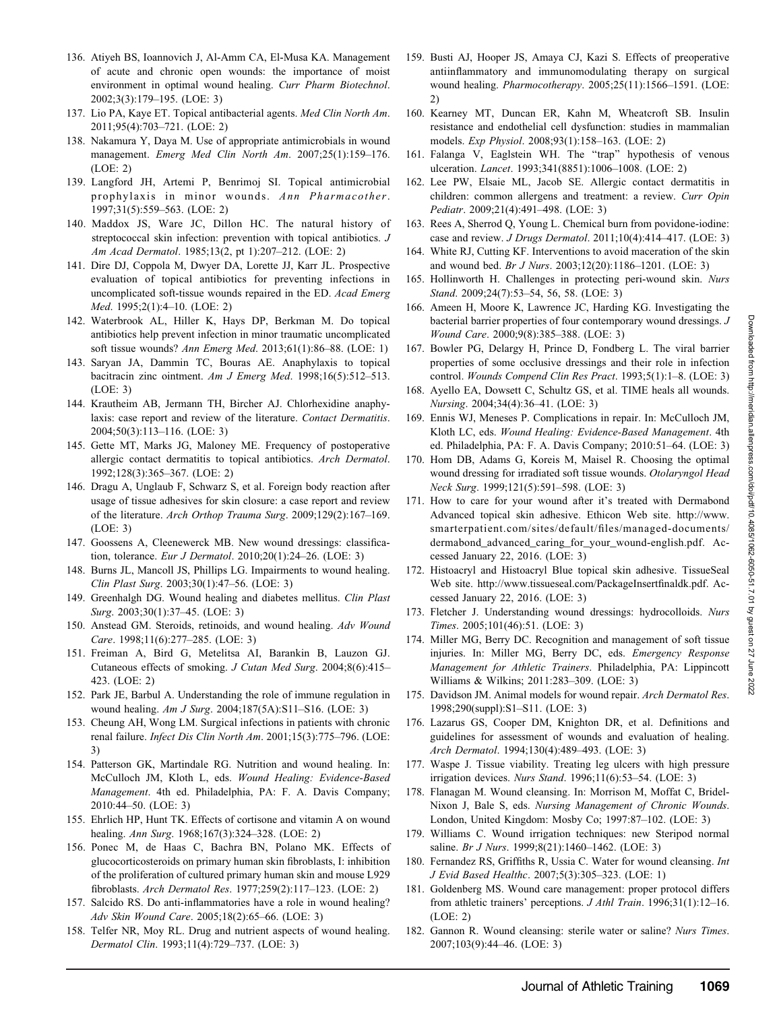- 136. Atiyeh BS, Ioannovich J, Al-Amm CA, El-Musa KA. Management of acute and chronic open wounds: the importance of moist environment in optimal wound healing. Curr Pharm Biotechnol. 2002;3(3):179–195. (LOE: 3)
- 137. Lio PA, Kaye ET. Topical antibacterial agents. Med Clin North Am. 2011;95(4):703–721. (LOE: 2)
- 138. Nakamura Y, Daya M. Use of appropriate antimicrobials in wound management. Emerg Med Clin North Am. 2007;25(1):159-176. (LOE: 2)
- 139. Langford JH, Artemi P, Benrimoj SI. Topical antimicrobial prophylaxis in minor wounds. Ann Pharmacother. 1997;31(5):559–563. (LOE: 2)
- 140. Maddox JS, Ware JC, Dillon HC. The natural history of streptococcal skin infection: prevention with topical antibiotics. J Am Acad Dermatol. 1985;13(2, pt 1):207–212. (LOE: 2)
- 141. Dire DJ, Coppola M, Dwyer DA, Lorette JJ, Karr JL. Prospective evaluation of topical antibiotics for preventing infections in uncomplicated soft-tissue wounds repaired in the ED. Acad Emerg Med. 1995;2(1):4–10. (LOE: 2)
- 142. Waterbrook AL, Hiller K, Hays DP, Berkman M. Do topical antibiotics help prevent infection in minor traumatic uncomplicated soft tissue wounds? Ann Emerg Med. 2013;61(1):86–88. (LOE: 1)
- 143. Saryan JA, Dammin TC, Bouras AE. Anaphylaxis to topical bacitracin zinc ointment. Am J Emerg Med. 1998;16(5):512-513. (LOE: 3)
- 144. Krautheim AB, Jermann TH, Bircher AJ. Chlorhexidine anaphylaxis: case report and review of the literature. Contact Dermatitis. 2004;50(3):113–116. (LOE: 3)
- 145. Gette MT, Marks JG, Maloney ME. Frequency of postoperative allergic contact dermatitis to topical antibiotics. Arch Dermatol. 1992;128(3):365–367. (LOE: 2)
- 146. Dragu A, Unglaub F, Schwarz S, et al. Foreign body reaction after usage of tissue adhesives for skin closure: a case report and review of the literature. Arch Orthop Trauma Surg. 2009;129(2):167–169. (LOE: 3)
- 147. Goossens A, Cleenewerck MB. New wound dressings: classification, tolerance. Eur J Dermatol. 2010;20(1):24–26. (LOE: 3)
- 148. Burns JL, Mancoll JS, Phillips LG. Impairments to wound healing. Clin Plast Surg. 2003;30(1):47–56. (LOE: 3)
- 149. Greenhalgh DG. Wound healing and diabetes mellitus. Clin Plast Surg. 2003;30(1):37–45. (LOE: 3)
- 150. Anstead GM. Steroids, retinoids, and wound healing. Adv Wound Care. 1998;11(6):277–285. (LOE: 3)
- 151. Freiman A, Bird G, Metelitsa AI, Barankin B, Lauzon GJ. Cutaneous effects of smoking. J Cutan Med Surg. 2004;8(6):415– 423. (LOE: 2)
- 152. Park JE, Barbul A. Understanding the role of immune regulation in wound healing. Am J Surg. 2004;187(5A):S11–S16. (LOE: 3)
- 153. Cheung AH, Wong LM. Surgical infections in patients with chronic renal failure. Infect Dis Clin North Am. 2001;15(3):775-796. (LOE: 3)
- 154. Patterson GK, Martindale RG. Nutrition and wound healing. In: McCulloch JM, Kloth L, eds. Wound Healing: Evidence-Based Management. 4th ed. Philadelphia, PA: F. A. Davis Company; 2010:44–50. (LOE: 3)
- 155. Ehrlich HP, Hunt TK. Effects of cortisone and vitamin A on wound healing. Ann Surg. 1968;167(3):324–328. (LOE: 2)
- 156. Ponec M, de Haas C, Bachra BN, Polano MK. Effects of glucocorticosteroids on primary human skin fibroblasts, I: inhibition of the proliferation of cultured primary human skin and mouse L929 fibroblasts. Arch Dermatol Res. 1977;259(2):117–123. (LOE: 2)
- 157. Salcido RS. Do anti-inflammatories have a role in wound healing? Adv Skin Wound Care. 2005;18(2):65–66. (LOE: 3)
- 158. Telfer NR, Moy RL. Drug and nutrient aspects of wound healing. Dermatol Clin. 1993;11(4):729–737. (LOE: 3)
- 159. Busti AJ, Hooper JS, Amaya CJ, Kazi S. Effects of preoperative antiinflammatory and immunomodulating therapy on surgical wound healing. Pharmocotherapy. 2005;25(11):1566–1591. (LOE: 2)
- 160. Kearney MT, Duncan ER, Kahn M, Wheatcroft SB. Insulin resistance and endothelial cell dysfunction: studies in mammalian models. Exp Physiol. 2008;93(1):158–163. (LOE: 2)
- 161. Falanga V, Eaglstein WH. The ''trap'' hypothesis of venous ulceration. Lancet. 1993;341(8851):1006–1008. (LOE: 2)
- 162. Lee PW, Elsaie ML, Jacob SE. Allergic contact dermatitis in children: common allergens and treatment: a review. Curr Opin Pediatr. 2009;21(4):491–498. (LOE: 3)
- 163. Rees A, Sherrod Q, Young L. Chemical burn from povidone-iodine: case and review. J Drugs Dermatol. 2011;10(4):414–417. (LOE: 3)
- 164. White RJ, Cutting KF. Interventions to avoid maceration of the skin and wound bed. Br J Nurs. 2003;12(20):1186–1201. (LOE: 3)
- 165. Hollinworth H. Challenges in protecting peri-wound skin. Nurs Stand. 2009;24(7):53–54, 56, 58. (LOE: 3)
- 166. Ameen H, Moore K, Lawrence JC, Harding KG. Investigating the bacterial barrier properties of four contemporary wound dressings. J Wound Care. 2000;9(8):385–388. (LOE: 3)
- 167. Bowler PG, Delargy H, Prince D, Fondberg L. The viral barrier properties of some occlusive dressings and their role in infection control. Wounds Compend Clin Res Pract. 1993;5(1):1–8. (LOE: 3)
- 168. Ayello EA, Dowsett C, Schultz GS, et al. TIME heals all wounds. Nursing. 2004;34(4):36–41. (LOE: 3)
- 169. Ennis WJ, Meneses P. Complications in repair. In: McCulloch JM, Kloth LC, eds. Wound Healing: Evidence-Based Management. 4th ed. Philadelphia, PA: F. A. Davis Company; 2010:51–64. (LOE: 3)
- 170. Hom DB, Adams G, Koreis M, Maisel R. Choosing the optimal wound dressing for irradiated soft tissue wounds. Otolaryngol Head Neck Surg. 1999;121(5):591–598. (LOE: 3)
- 171. How to care for your wound after it's treated with Dermabond Advanced topical skin adhesive. Ethicon Web site. http://www. smarterpatient.com/sites/default/files/managed-documents/ dermabond\_advanced\_caring\_for\_your\_wound-english.pdf. Accessed January 22, 2016. (LOE: 3)
- 172. Histoacryl and Histoacryl Blue topical skin adhesive. TissueSeal Web site. http://www.tissueseal.com/PackageInsertfinaldk.pdf. Accessed January 22, 2016. (LOE: 3)
- 173. Fletcher J. Understanding wound dressings: hydrocolloids. Nurs Times. 2005;101(46):51. (LOE: 3)
- 174. Miller MG, Berry DC. Recognition and management of soft tissue injuries. In: Miller MG, Berry DC, eds. Emergency Response Management for Athletic Trainers. Philadelphia, PA: Lippincott Williams & Wilkins; 2011:283–309. (LOE: 3)
- 175. Davidson JM. Animal models for wound repair. Arch Dermatol Res. 1998;290(suppl):S1–S11. (LOE: 3)
- 176. Lazarus GS, Cooper DM, Knighton DR, et al. Definitions and guidelines for assessment of wounds and evaluation of healing. Arch Dermatol. 1994;130(4):489–493. (LOE: 3)
- 177. Waspe J. Tissue viability. Treating leg ulcers with high pressure irrigation devices. Nurs Stand. 1996;11(6):53–54. (LOE: 3)
- 178. Flanagan M. Wound cleansing. In: Morrison M, Moffat C, Bridel-Nixon J, Bale S, eds. Nursing Management of Chronic Wounds. London, United Kingdom: Mosby Co; 1997:87–102. (LOE: 3)
- 179. Williams C. Wound irrigation techniques: new Steripod normal saline. *Br J Nurs.* 1999;8(21):1460-1462. (LOE: 3)
- 180. Fernandez RS, Griffiths R, Ussia C. Water for wound cleansing. Int J Evid Based Healthc. 2007;5(3):305–323. (LOE: 1)
- 181. Goldenberg MS. Wound care management: proper protocol differs from athletic trainers' perceptions. *J Athl Train*. 1996;31(1):12–16. (LOE: 2)
- 182. Gannon R. Wound cleansing: sterile water or saline? Nurs Times. 2007;103(9):44–46. (LOE: 3)